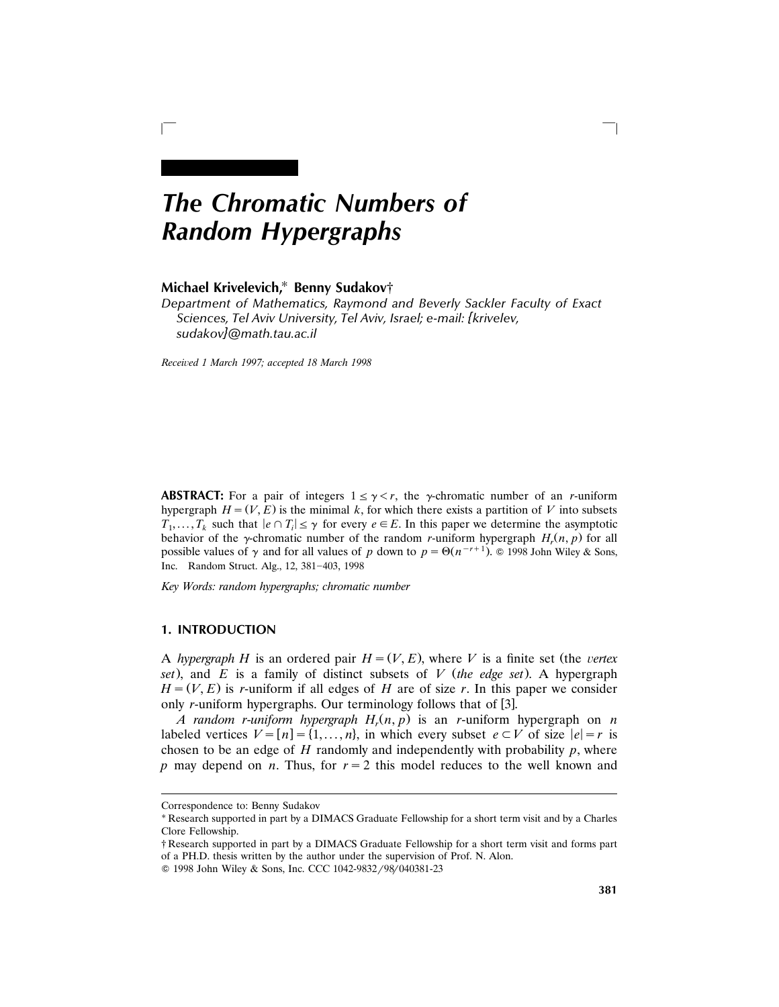# *The Chromatic Numbers of Random Hypergraphs*

# **Michael Krivelevich,**<sup>U</sup> **Benny Sudakov**†

*Department of Mathematics, Raymond and Beverly Sackler Faculty of Exact Sciences, Tel Aviv University, Tel Aviv, Israel; e-mail: {krivelev, sudakov}@math.tau.ac.il*

 $\Box$ 

*Recei*¨*ed 1 March 1997; accepted 18 March 1998*

**ABSTRACT:** For a pair of integers  $1 \leq \gamma < r$ , the *y*-chromatic number of an *r*-uniform hypergraph  $H = (V, E)$  is the minimal k, for which there exists a partition of V into subsets  $T_1, \ldots, T_k$  such that  $|e \cap T_i| \leq \gamma$  for every  $e \in E$ . In this paper we determine the asymptotic behavior of the  $\gamma$ -chromatic number of the random *r*-uniform hypergraph  $H_r(n, p)$  for all possible values of  $\gamma$  and for all values of *p* down to  $p = \Theta(n^{-r+1})$ . © 1998 John Wiley & Sons, Inc. Random Struct. Alg., 12, 381-403, 1998

*Key Words: random hypergraphs; chromatic number*

# **1. INTRODUCTION**

A *hypergraph H* is an ordered pair  $H = (V, E)$ , where *V* is a finite set (the *vertex set*), and *E* is a family of distinct subsets of *V (the edge set*). A hypergraph  $H = (V, E)$  is *r*-uniform if all edges of *H* are of size *r*. In this paper we consider only *r*-uniform hypergraphs. Our terminology follows that of [3].

*A random r*-*uniform hypergraph H<sup>r</sup>* Ž . *n*, *p* is an *r*-uniform hypergraph on *n* labeled vertices  $V = [n] = \{1, \ldots, n\}$ , in which every subset  $e \subset V$  of size  $|e| = r$  is chosen to be an edge of  $H$  randomly and independently with probability  $p$ , where *p* may depend on *n*. Thus, for  $r = 2$  this model reduces to the well known and

Correspondence to: Benny Sudakov

<sup>\*</sup> Research supported in part by a DIMACS Graduate Fellowship for a short term visit and by a Charles Clore Fellowship.

<sup>†</sup> Research supported in part by a DIMACS Graduate Fellowship for a short term visit and forms part of a PH.D. thesis written by the author under the supervision of Prof. N. Alon.

<sup>© 1998</sup> John Wiley & Sons, Inc. CCC 1042-9832/98/040381-23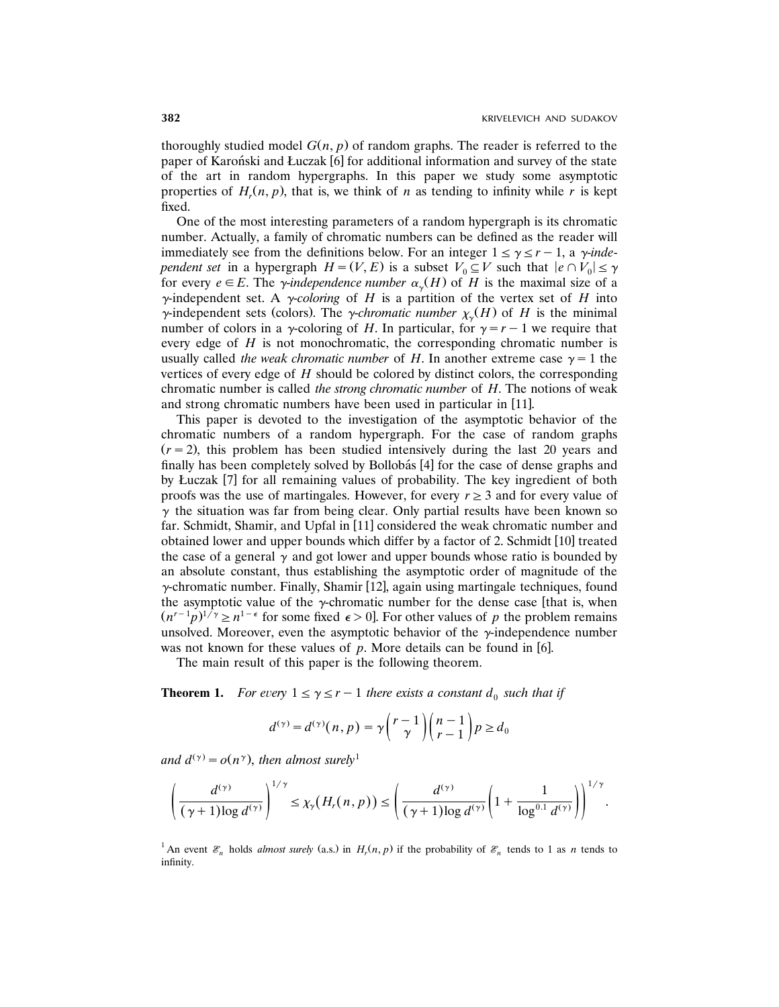thoroughly studied model  $G(n, p)$  of random graphs. The reader is referred to the paper of Karonski and Łuczak  $[6]$  for additional information and survey of the state of the art in random hypergraphs. In this paper we study some asymptotic properties of  $H_r(n, p)$ , that is, we think of *n* as tending to infinity while *r* is kept fixed.

One of the most interesting parameters of a random hypergraph is its chromatic number. Actually, a family of chromatic numbers can be defined as the reader will immediately see from the definitions below. For an integer  $1 \le \gamma \le r-1$ , a *y-independent set* in a hypergraph  $H = (V, E)$  is a subset  $V_0 \subseteq V$  such that  $|e \cap V_0| \le \gamma$ for every  $e \in E$ . The *y*-independence *number*  $\alpha_{\gamma}(H)$  of *H* is the maximal size of a  $\gamma$ -independent set. A *y-coloring* of *H* is a partition of the vertex set of *H* into  $\gamma$ -independent sets (colors). The  $\gamma$ -*chromatic number*  $\chi_{\gamma}(H)$  of *H* is the minimal number of colors in a  $\gamma$ -coloring of *H*. In particular, for  $\gamma = r - 1$  we require that every edge of *H* is not monochromatic, the corresponding chromatic number is usually called *the weak chromatic number* of *H*. In another extreme case  $\gamma = 1$  the vertices of every edge of *H* should be colored by distinct colors, the corresponding chromatic number is called *the strong chromatic number* of *H*. The notions of weak and strong chromatic numbers have been used in particular in [11].

This paper is devoted to the investigation of the asymptotic behavior of the chromatic numbers of a random hypergraph. For the case of random graphs  $(r = 2)$ , this problem has been studied intensively during the last 20 years and finally has been completely solved by Bollobás [4] for the case of dense graphs and by Łuczak [7] for all remaining values of probability. The key ingredient of both proofs was the use of martingales. However, for every  $r \geq 3$  and for every value of  $\gamma$  the situation was far from being clear. Only partial results have been known so far. Schmidt, Shamir, and Upfal in  $[11]$  considered the weak chromatic number and obtained lower and upper bounds which differ by a factor of 2. Schmidt  $[10]$  treated the case of a general  $\gamma$  and got lower and upper bounds whose ratio is bounded by an absolute constant, thus establishing the asymptotic order of magnitude of the  $\gamma$ -chromatic number. Finally, Shamir [12], again using martingale techniques, found the asymptotic value of the  $\gamma$ -chromatic number for the dense case [that is, when  $(n^{r-1}p)^{1/\gamma} \ge n^{1-\epsilon}$  for some fixed  $\epsilon > 0$ . For other values of *p* the problem remains unsolved. Moreover, even the asymptotic behavior of the  $\gamma$ -independence number was not known for these values of  $p$ . More details can be found in [6].

The main result of this paper is the following theorem.

**Theorem 1.** For every  $1 \leq \gamma \leq r-1$  there exists a constant  $d_0$  such that if

$$
d^{(\gamma)} = d^{(\gamma)}(n, p) = \gamma \binom{r-1}{\gamma} \binom{n-1}{r-1} p \ge d_0
$$

and  $d^{(\gamma)} = o(n^{\gamma})$ , then almost surely<sup>1</sup>

$$
\left(\frac{d^{(\gamma)}}{(\gamma+1)\log d^{(\gamma)}}\right)^{1/\gamma}\leq \chi_{\gamma}\big(H_r(n,p)\big)\leq \left(\frac{d^{(\gamma)}}{(\gamma+1)\log d^{(\gamma)}}\left(1+\frac{1}{\log^{0.1} d^{(\gamma)}}\right)\right)^{1/\gamma}.
$$

<sup>1</sup>An event  $\mathcal{E}_n$  holds *almost surely* (a.s.) in  $H_r(n, p)$  if the probability of  $\mathcal{E}_n$  tends to 1 as *n* tends to infinity.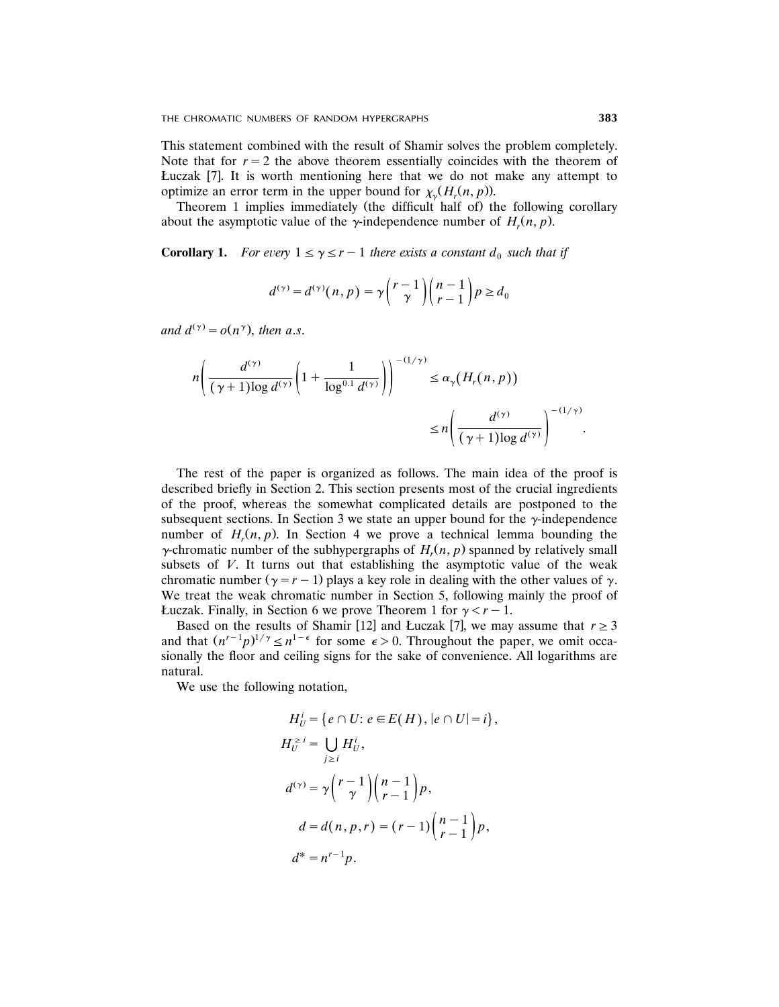This statement combined with the result of Shamir solves the problem completely. Note that for  $r = 2$  the above theorem essentially coincides with the theorem of Łuczak  $[7]$ . It is worth mentioning here that we do not make any attempt to optimize an error term in the upper bound for  $\chi_v(H_r(n, p))$ .

Theorem 1 implies immediately (the difficult half of) the following corollary about the asymptotic value of the  $\gamma$ -independence number of  $H_r(n, p)$ .

**Corollary 1.** For every  $1 \le \gamma \le r-1$  there exists a constant  $d_0$  such that if

$$
d^{(\gamma)} = d^{(\gamma)}(n, p) = \gamma \binom{r-1}{\gamma} \binom{n-1}{r-1} p \ge d_0
$$

and  $d^{(\gamma)} = o(n^{\gamma})$ , then a.s.

$$
n\left(\frac{d^{(\gamma)}}{(\gamma+1)\log d^{(\gamma)}}\left(1+\frac{1}{\log^{0.1}d^{(\gamma)}}\right)\right)^{-(1/\gamma)} \leq \alpha_{\gamma}\left(H_r(n,p)\right)
$$

$$
\leq n\left(\frac{d^{(\gamma)}}{(\gamma+1)\log d^{(\gamma)}}\right)^{-(1/\gamma)}.
$$

The rest of the paper is organized as follows. The main idea of the proof is described briefly in Section 2. This section presents most of the crucial ingredients of the proof, whereas the somewhat complicated details are postponed to the subsequent sections. In Section 3 we state an upper bound for the  $\gamma$ -independence number of  $H_r(n, p)$ . In Section 4 we prove a technical lemma bounding the  $\gamma$ -chromatic number of the subhypergraphs of  $H_r(n, p)$  spanned by relatively small subsets of  $V$ . It turns out that establishing the asymptotic value of the weak chromatic number  $(y = r - 1)$  plays a key role in dealing with the other values of  $\gamma$ . We treat the weak chromatic number in Section 5, following mainly the proof of *Luczak.* Finally, in Section 6 we prove Theorem 1 for  $\gamma < r - 1$ .

Based on the results of Shamir [12] and Łuczak [7], we may assume that  $r \geq 3$ and that  $(n^{r-1}p)^{1/\gamma} \leq n^{1-\epsilon}$  for some  $\epsilon > 0$ . Throughout the paper, we omit occasionally the floor and ceiling signs for the sake of convenience. All logarithms are natural.

We use the following notation,

$$
H_U^i = \{e \cap U : e \in E(H), |e \cap U| = i\},
$$
  
\n
$$
H_U^{\geq i} = \bigcup_{j \geq i} H_U^i,
$$
  
\n
$$
d^{(\gamma)} = \gamma \binom{r-1}{\gamma} \binom{n-1}{r-1} p,
$$
  
\n
$$
d = d(n, p, r) = (r-1) \binom{n-1}{r-1} p,
$$
  
\n
$$
d^* = n^{r-1} p.
$$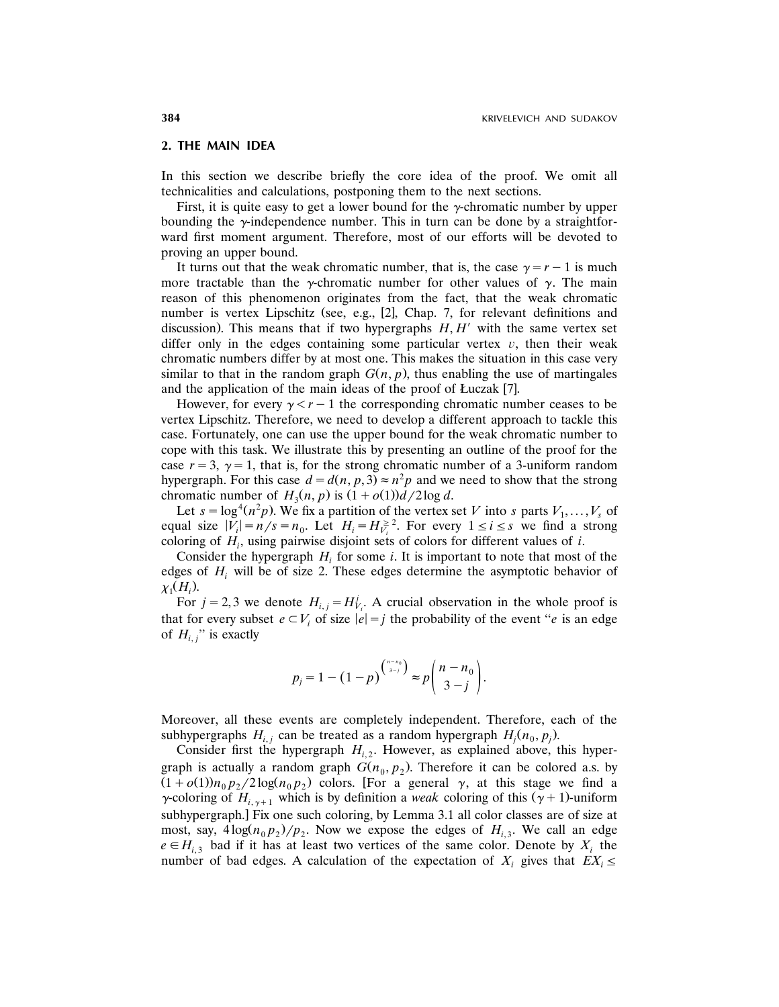# **2. THE MAIN IDEA**

In this section we describe briefly the core idea of the proof. We omit all technicalities and calculations, postponing them to the next sections.

First, it is quite easy to get a lower bound for the  $\gamma$ -chromatic number by upper bounding the  $\gamma$ -independence number. This in turn can be done by a straightforward first moment argument. Therefore, most of our efforts will be devoted to proving an upper bound.

It turns out that the weak chromatic number, that is, the case  $\gamma = r-1$  is much more tractable than the y-chromatic number for other values of  $\gamma$ . The main reason of this phenomenon originates from the fact, that the weak chromatic number is vertex Lipschitz (see, e.g., [2], Chap. 7, for relevant definitions and discussion). This means that if two hypergraphs  $H, H'$  with the same vertex set differ only in the edges containing some particular vertex  $v$ , then their weak chromatic numbers differ by at most one. This makes the situation in this case very similar to that in the random graph  $G(n, p)$ , thus enabling the use of martingales and the application of the main ideas of the proof of Łuczak [7].

However, for every  $\gamma < r-1$  the corresponding chromatic number ceases to be vertex Lipschitz. Therefore, we need to develop a different approach to tackle this case. Fortunately, one can use the upper bound for the weak chromatic number to cope with this task. We illustrate this by presenting an outline of the proof for the case  $r = 3$ ,  $\gamma = 1$ , that is, for the strong chromatic number of a 3-uniform random hypergraph. For this case  $d = d(n, p, 3) \approx n^2 p$  and we need to show that the strong chromatic number of  $H_3(n, p)$  is  $(1 + o(1))d/2 \log d$ .

Let  $s = \log^4(n^2p)$ . We fix a partition of the vertex set *V* into *s* parts  $V_1, \ldots, V_s$  of equal size  $|V_i| = n/s = n_0$ . Let  $H_i = H_{V_i}^{\geq 2}$ . For every  $1 \leq i \leq s$  we find a strong coloring of  $H_i$ , using pairwise disjoint sets of colors for different values of *i*.

Consider the hypergraph  $H_i$  for some *i*. It is important to note that most of the edges of  $H_i$  will be of size 2. These edges determine the asymptotic behavior of  $\chi_1(H_i)$ .

For  $j = 2, 3$  we denote  $H_{i,j} = H_{V_i}^j$ . A crucial observation in the whole proof is that for every subset  $e \subset V_i$  of size  $|e| = j$  the probability of the event "*e* is an edge of  $H_{i,j}$ <sup>"</sup> is exactly

$$
p_j=1-(1-p)^{\binom{n-n_0}{3-j}}\approx p\binom{n-n_0}{3-j}.
$$

Moreover, all these events are completely independent. Therefore, each of the subhypergraphs  $H_{i,j}$  can be treated as a random hypergraph  $H_j(n_0, p_j)$ .

Consider first the hypergraph  $H_{i,2}$ . However, as explained above, this hypergraph is actually a random graph  $G(n_0, p_2)$ . Therefore it can be colored a.s. by  $(1+o(1))n_0p_2/2\log(n_0p_2)$  colors. [For a general  $\gamma$ , at this stage we find a  $\gamma$ -coloring of  $H_{i,\gamma+1}$  which is by definition a *weak* coloring of this  $(\gamma + 1)$ -uniform subhypergraph.] Fix one such coloring, by Lemma 3.1 all color classes are of size at most, say,  $4\log(n_0 p_2)/p_2$ . Now we expose the edges of  $H_{i,3}$ . We call an edge  $e \in H_{i,3}$  bad if it has at least two vertices of the same color. Denote by  $X_i$  the number of bad edges. A calculation of the expectation of  $X_i$  gives that  $EX_i \leq$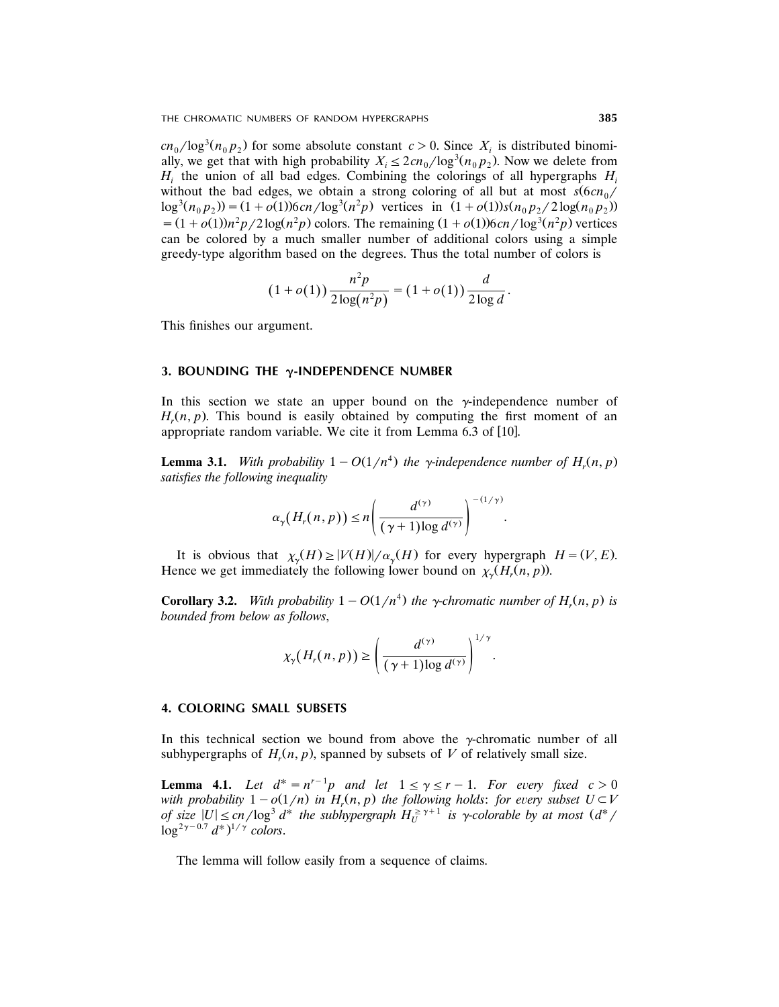THE CHROMATIC NUMBERS OF RANDOM HYPERGRAPHS **385**

 $cn_0/\log^3(n_0 p_2)$  for some absolute constant  $c > 0$ . Since  $X_i$  is distributed binomially, we get that with high probability  $X_i \leq 2cn_0/\log^3(n_0p_2)$ . Now we delete from  $H_i$  the union of all bad edges. Combining the colorings of all hypergraphs  $H_i$ without the bad edges, we obtain a strong coloring of all but at most  $s(6cn_0/$  $\log^3(n_0 p_2)$  =  $(1 + o(1))6cn / \log^3(n^2 p)$  vertices in  $(1 + o(1))s(n_0 p_2 / 2 \log(n_0 p_2))$  $= (1 + o(1))n^2p/2\log(n^2p)$  colors. The remaining  $(1 + o(1))6cn/\log^3(n^2p)$  vertices can be colored by a much smaller number of additional colors using a simple greedy-type algorithm based on the degrees. Thus the total number of colors is

$$
(1+o(1))\frac{n^2p}{2\log(n^2p)} = (1+o(1))\frac{d}{2\log d}.
$$

This finishes our argument.

#### **3. BOUNDING THE** g**-INDEPENDENCE NUMBER**

In this section we state an upper bound on the  $\gamma$ -independence number of  $H_r(n, p)$ . This bound is easily obtained by computing the first moment of an appropriate random variable. We cite it from Lemma  $6.3$  of  $[10]$ .

**Lemma 3.1.** *With probability*  $1 - O(1/n^4)$  *the y*-*independence number of*  $H_r(n, p)$ *satisfies the following inequality*

$$
\alpha_{\gamma}\big(H_r(n,p)\big)\leq n\Bigg(\frac{d^{(\gamma)}}{(\gamma+1)\log d^{(\gamma)}}\Bigg)^{-(1/\gamma)}.
$$

It is obvious that  $\chi_{\gamma}(H) \ge |V(H)| / \alpha_{\gamma}(H)$  for every hypergraph  $H = (V, E)$ . Hence we get immediately the following lower bound on  $\chi_v(H_r(n, p))$ .

**Corollary 3.2.** *With probability*  $1 - O(1/n^4)$  *the*  $\gamma$ -*chromatic number of*  $H_r(n, p)$  *is bounded from below as follows*,

$$
\chi_{\gamma}(H_r(n,p)) \geq \left(\frac{d^{(\gamma)}}{(\gamma+1)\log d^{(\gamma)}}\right)^{1/\gamma}.
$$

#### **4. COLORING SMALL SUBSETS**

In this technical section we bound from above the  $\gamma$ -chromatic number of all subhypergraphs of  $H_r(n, p)$ , spanned by subsets of V of relatively small size.

**Lemma 4.1.** Let  $d^* = n^{r-1}p$  and let  $1 \leq \gamma \leq r-1$ . For every fixed  $c > 0$ *with probability*  $1 - o(1/n)$  *in*  $H_r(n, p)$  *the following holds: for every subset*  $U \subset V$ *of* size  $|U| \leq cn/\log^3 d^*$  the subhypergraph  $H_U^{\geq \gamma+1}$  is  $\gamma$ -colorable by at most  $(d^*/d)$  $\log^{2\gamma-0.7} d^*$ <sup> $1/\gamma$ </sup> colors.

The lemma will follow easily from a sequence of claims.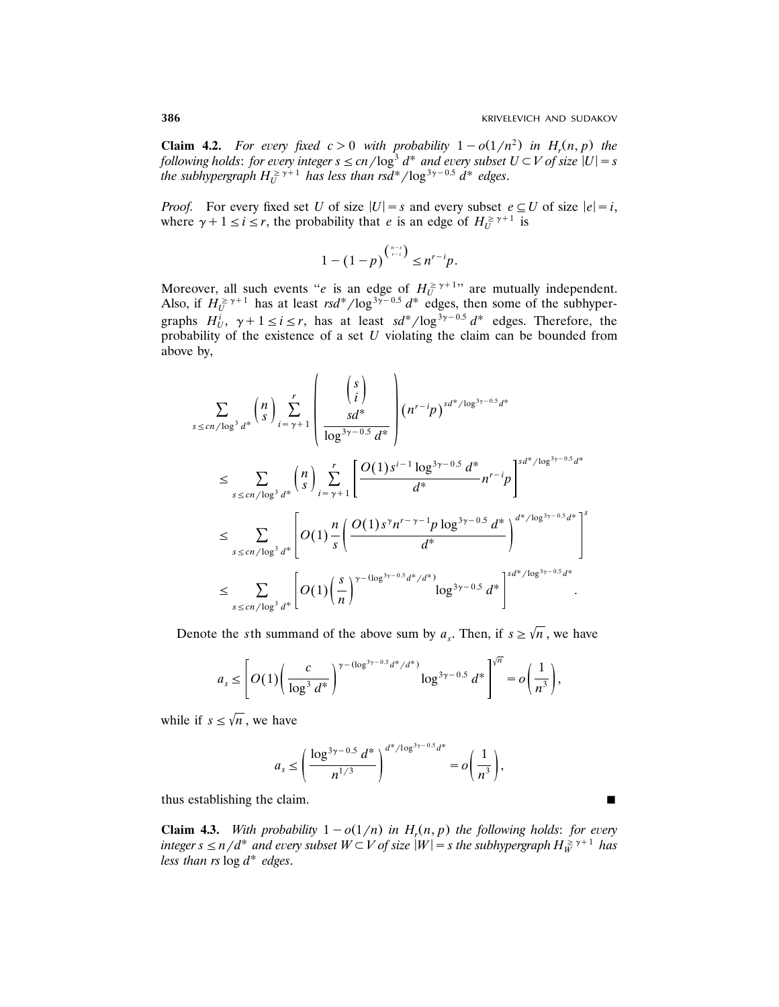**Claim 4.2.** For every fixed  $c > 0$  with probability  $1 - o(1/n^2)$  in  $H_r(n, p)$  the *following holds: for every integer*  $s \leq cn/\log^3 d^*$  *and every subset*  $U \subset V$  *of size*  $|U| = s$ *the subhypergraph*  $H_U^{\geq \gamma + 1}$  *has less than rsd*<sup>\*</sup>/log<sup>3 $\gamma$ -0.5 *d*<sup>\*</sup> *edges.*</sup>

*Proof.* For every fixed set *U* of size  $|U| = s$  and every subset  $e \subseteq U$  of size  $|e| = i$ , where  $\gamma + 1 \le i \le r$ , the probability that *e* is an edge of  $H_U^{\geq \gamma + 1}$  is

$$
1-(1-p)^{\binom{n-s}{r-i}} \leq n^{r-i}p.
$$

Moreover, all such events "*e* is an edge of  $H_U^{\geq \gamma+1}$ " are mutually independent. Also, if  $H_U^{\geq \gamma+1}$  has at least  $rsd^*/\log^{3\gamma-0.5} d^*$  edges, then some of the subhypergraphs  $H_U^i$ ,  $\gamma + 1 \le i \le r$ , has at least  $sd^*/\log^{3\gamma - 0.5} d^*$  edges. Therefore, the probability of the existence of a set *U* violating the claim can be bounded from above by,

$$
\sum_{s \le cn/\log^{3} d^{*}} {n \choose s} \sum_{i=\gamma+1}^{r} \left( \frac{{s \choose i}}{log^{3\gamma-0.5} d^{*}} \right) (n^{r-i}p)^{sd^{*}/\log^{3\gamma-0.5} d^{*}}
$$
\n
$$
\le \sum_{s \le cn/\log^{3} d^{*}} {n \choose s} \sum_{i=\gamma+1}^{r} \left[ \frac{O(1)s^{i-1} \log^{3\gamma-0.5} d^{*}}{d^{*}} n^{r-i}p \right]^{sd^{*}/\log^{3\gamma-0.5} d^{*}}
$$
\n
$$
\le \sum_{s \le cn/\log^{3} d^{*}} \left[ O(1) \frac{n}{s} \left( \frac{O(1)s^{\gamma} n^{r-\gamma-1} p \log^{3\gamma-0.5} d^{*}}{d^{*}} \right)^{d^{*}/\log^{3\gamma-0.5} d^{*}} \right]^{s}
$$
\n
$$
\le \sum_{s \le cn/\log^{3} d^{*}} \left[ O(1) \left( \frac{s}{n} \right)^{\gamma- (\log^{3\gamma-0.5} d^{*}/d^{*})} \log^{3\gamma-0.5} d^{*} \right]^{sd^{*}/\log^{3\gamma-0.5} d^{*}}.
$$

Denote the *s*th summand of the above sum by  $a_s$ . Then, if  $s \ge \sqrt{n}$ , we have

$$
a_s \leq \left[O(1)\left(\frac{c}{\log^3 d^*}\right)^{\gamma - (\log^{3\gamma - 0.5} d^*/d^*)} \log^{3\gamma - 0.5} d^*\right]^{\sqrt{n}} = o\left(\frac{1}{n^3}\right),
$$

while if  $s \leq \sqrt{n}$ , we have

$$
a_s \le \left(\frac{\log^{3\gamma - 0.5} d^*}{n^{1/3}}\right)^{d^* / \log^{3\gamma - 0.5} d^*} = o\left(\frac{1}{n^3}\right),
$$

thus establishing the claim.

**Claim 4.3.** *With probability*  $1 - o(1/n)$  *in*  $H_r(n, p)$  *the following holds: for every*  $\int$  *integer*  $s \le n/d^*$  and every subset  $W \subset V$  of size  $|W| = s$  the subhypergraph  $H^{\geq \gamma + 1}_W$  has *less than rs*  $log d^*$  *edges.*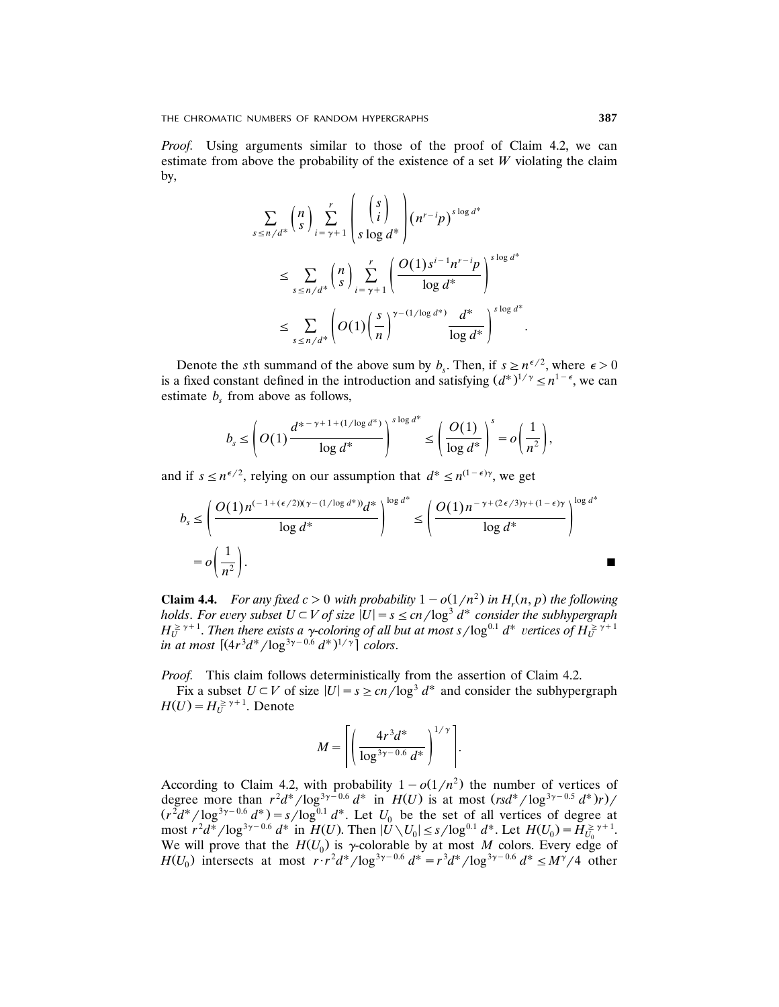*Proof.* Using arguments similar to those of the proof of Claim 4.2, we can estimate from above the probability of the existence of a set *W* violating the claim by,

$$
\sum_{s \le n/d^*} {n \choose s} \sum_{i=\gamma+1}^r \left( {s \choose i} \choose s \log d^* \right) (n^{r-i} p)^{s \log d^*}
$$
  

$$
\le \sum_{s \le n/d^*} {n \choose s} \sum_{i=\gamma+1}^r \left( \frac{O(1) s^{i-1} n^{r-i} p}{\log d^*} \right)^{s \log d^*}
$$
  

$$
\le \sum_{s \le n/d^*} \left( O(1) \left( \frac{s}{n} \right)^{\gamma - (1/\log d^*)} \frac{d^*}{\log d^*} \right)^{s \log d^*}.
$$

Denote the *s*th summand of the above sum by  $b_s$ . Then, if  $s \ge n^{\epsilon/2}$ , where  $\epsilon > 0$ is a fixed constant defined in the introduction and satisfying  $(d^*)^{1/\gamma} \leq n^{1-\epsilon}$ , we can estimate  $b<sub>s</sub>$  from above as follows,

$$
b_s \leq \left( O(1) \frac{d^{s-\gamma+1+(1/\log d^*)}}{\log d^*} \right)^{s \log d^*} \leq \left( \frac{O(1)}{\log d^*} \right)^s = o\left( \frac{1}{n^2} \right),
$$

and if  $s \leq n^{\epsilon/2}$ , relying on our assumption that  $d^* \leq n^{(1-\epsilon)\gamma}$ , we get

$$
b_s \leq \left(\frac{O(1)n^{(-1+(\epsilon/2))(\gamma-(1/\log d^*))}d^*}{\log d^*}\right)^{\log d^*} \leq \left(\frac{O(1)n^{-\gamma+(2\epsilon/3)\gamma+(1-\epsilon)\gamma}}{\log d^*}\right)^{\log d^*}
$$

$$
= o\left(\frac{1}{n^2}\right).
$$

**Claim 4.4.** *For any fixed c* > 0 *with probability*  $1 - o(1/n^2)$  *in*  $H_r(n, p)$  *the following holds. For every subset*  $U \subset V$  *of size*  $|U| = s \le cn / \log^3 d^*$  *consider the subhypergraph*  $H_U^{\geq r+1}$ . Then there exists a *y*-coloring of all but at most s/log<sup>0.1</sup>  $d^*$  vertices of  $H_U^{\geq r+1}$  $\int \int_0^{\pi} (4r^3 d^* / \log^{3\gamma - 0.6} d^*)^{1/\gamma} \cdot \int_0^{\pi}$  *colors.* 

*Proof.* This claim follows deterministically from the assertion of Claim 4.2.

Fix a subset  $U \subset V$  of size  $|U| = s \ge cn/\log^3 d^*$  and consider the subhypergraph  $H(U) = H_U^{\geq \gamma+1}$ . Denote

$$
M = \left[ \left( \frac{4r^3d^*}{\log^{3\gamma - 0.6} d^*} \right)^{1/\gamma} \right].
$$

According to Claim 4.2, with probability  $1-o(1/n^2)$  the number of vertices of degree more than  $r^2d^*/\log^{3\gamma-0.6} d^*$  in  $H(U)$  is at most  $(rsd^*/\log^{3\gamma-0.5} d^*)r$ /  $(r^2 d^*/ \log^{3\gamma-0.6} d^*) = s / \log^{0.1} d^*$ . Let  $U_0$  be the set of all vertices of degree at  $\max_{u \to 0} \frac{r^2 d^*}{\log^{3\gamma - 0.6} d^*}$  in  $H(U)$ . Then  $|U \setminus U_0| \le s / \log^{0.1} d^*$ . Let  $H(U_0) = H_{U_0}^{\ge \gamma + 1}$ . We will prove that the  $H(U_0)$  is  $\gamma$ -colorable by at most M colors. Every edge of  $H(U_0)$  intersects at most  $\frac{r \cdot r^2 d^*}{\log^{3\gamma - 0.6} d^*} = \frac{r^3 d^*}{\log^{3\gamma - 0.6} d^*} \leq M^{\gamma}/4$  other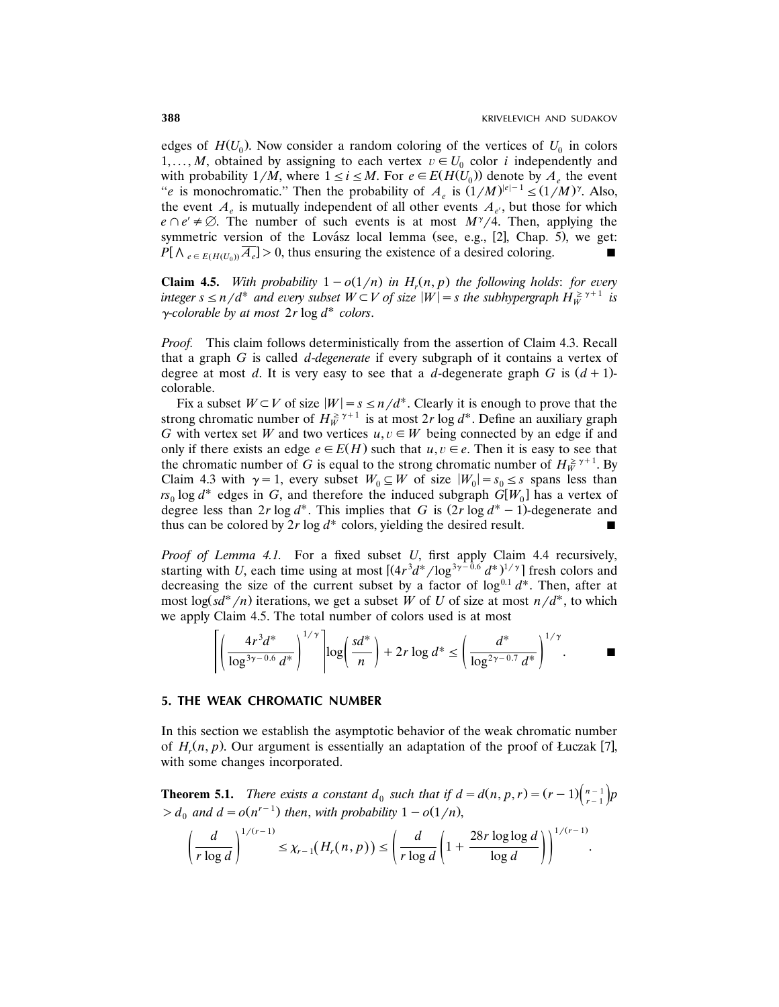edges of  $H(U_0)$ . Now consider a random coloring of the vertices of  $U_0$  in colors 1,..., *M*, obtained by assigning to each vertex  $v \in U_0$  color *i* independently and with probability  $1/M$ , where  $1 \le i \le M$ . For  $e \in E(H(U_0))$  denote by  $A_e$ , the event "*e* is monochromatic." Then the probability of  $A_e$  is  $(1/M)^{|e|-1} \le (1/M)^{\gamma}$ . Also, the event  $A_e$  is mutually independent of all other events  $A_e$ , but those for which  $e \cap e' \neq \emptyset$ . The number of such events is at most  $M^{\gamma}/4$ . Then, applying the symmetric version of the Lovász  $\alpha$  lemma (see, e.g., [2], Chap. 5), we get:  $P[\Lambda_{e \in E(H(U_0))}\overline{A_e}] > 0$ , thus ensuring the existence of a desired coloring.

**Claim 4.5.** *With probability*  $1 - o(1/n)$  *in*  $H_r(n, p)$  *the following holds: for every*  $\int$  *integer*  $s \le n/d^*$  and every subset  $W \subset V$  of size  $|W| = s$  the subhypergraph  $H_W^{\geq r+1}$  is  $\gamma$ -colorable by at most  $2r \log d^*$  colors.

*Proof.* This claim follows deterministically from the assertion of Claim 4.3. Recall that a graph *G* is called *d*-*degenerate* if every subgraph of it contains a vertex of degree at most *d*. It is very easy to see that a *d*-degenerate graph *G* is  $(d+1)$ colorable.

Fix a subset  $W \subset V$  of size  $|W| = s \le n/d^*$ . Clearly it is enough to prove that the strong chromatic number of  $H_W^{\geq \gamma+1}$  is at most 2*r* log  $d^*$ . Define an auxiliary graph *G* with vertex set *W* and two vertices  $u, v \in W$  being connected by an edge if and only if there exists an edge  $e \in E(H)$  such that  $u, v \in e$ . Then it is easy to see that the chromatic number of *G* is equal to the strong chromatic number of  $H_W^{\geq \gamma+1}$ . By Claim 4.3 with  $\gamma = 1$ , every subset  $W_0 \subseteq W$  of size  $|W_0| = s_0 \leq s$  spans less than  $rs_0 \log d^*$  edges in *G*, and therefore the induced subgraph  $\tilde{G}[W_0]$  has a vertex of degree less than 2*r* log  $d^*$ . This implies that *G* is  $(2r \log d^* - 1)$ -degenerate and thus can be colored by  $2r \log d^*$  colors, yielding the desired result.

*Proof of Lemma 4.1.* For a fixed subset *U*, first apply Claim 4.4 recursively, starting with *U*, each time using at most  $\left[ (4r^3 d^*/log^{3\gamma-0.6} d^*)^{1/\gamma} \right]$  fresh colors and decreasing the size of the current subset by a factor of  $\log^{0.1} d^*$ . Then, after at most  $\log(\frac{sd^*}{n})$  iterations, we get a subset *W* of *U* of size at most  $n/d^*$ , to which we apply Claim 4.5. The total number of colors used is at most

$$
\left[ \left( \frac{4r^3 d^*}{\log^{3\gamma - 0.6} d^*} \right)^{1/\gamma} \right] \log \left( \frac{sd^*}{n} \right) + 2r \log d^* \le \left( \frac{d^*}{\log^{2\gamma - 0.7} d^*} \right)^{1/\gamma}.
$$

#### **5. THE WEAK CHROMATIC NUMBER**

In this section we establish the asymptotic behavior of the weak chromatic number of  $H_r(n, p)$ . Our argument is essentially an adaptation of the proof of Łuczak [7], with some changes incorporated.

**Theorem 5.1.** *There exists a constant*  $d_0$  *such that if*  $d = d(n, p, r) = (r - 1) {n - 1 \choose r - 1} p$  $> d_0$  and  $d = o(n^{r-1})$  then, with probability  $1 - o(1/n)$ ,

$$
\left(\frac{d}{r\log d}\right)^{1/(r-1)} \leq \chi_{r-1}(H_r(n,p)) \leq \left(\frac{d}{r\log d}\left(1+\frac{28r\log\log d}{\log d}\right)\right)^{1/(r-1)}.
$$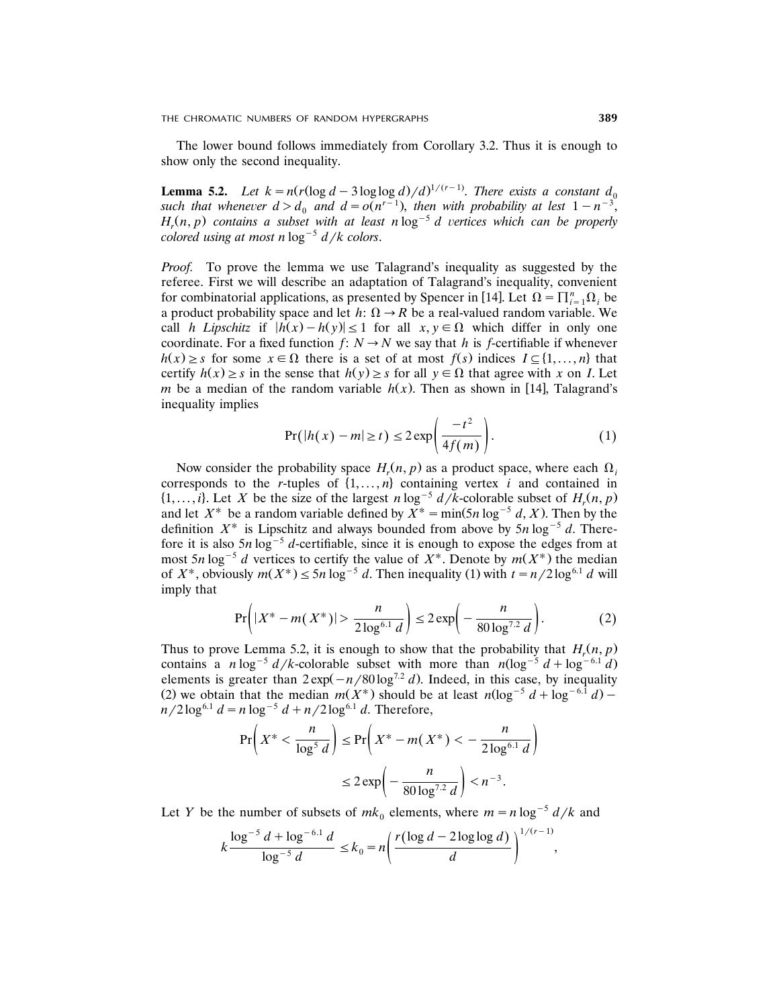The lower bound follows immediately from Corollary 3.2. Thus it is enough to show only the second inequality.

**Lemma 5.2.** *Let*  $k = n(r(\log d - 3\log\log d)/d)^{1/(r-1)}$ *. There exists a constant*  $d_0$ such that whenever  $d > d_0$  and  $d = o(n^{r-1})$ , then with probability at lest  $1 - n^{-3}$ ,  $H_r(n, p)$  contains a subset with at least  $n \log^{-5} d$  vertices which can be properly *colored using at most n*  $\log^{-5}$  *d*/*k colors.* 

*Proof.* To prove the lemma we use Talagrand's inequality as suggested by the referee. First we will describe an adaptation of Talagrand's inequality, convenient for combinatorial applications, as presented by Spencer in [14]. Let  $\Omega = \prod_{i=1}^{n} \Omega_i$  be a product probability space and let  $h: \Omega \rightarrow R$  be a real-valued random variable. We call *h Lipschitz* if  $|h(x) - h(y)| \le 1$  for all  $x, y \in \Omega$  which differ in only one coordinate. For a fixed function  $f: N \to N$  we say that *h* is *f*-certifiable if whenever  $h(x) \geq s$  for some  $x \in \Omega$  there is a set of at most  $f(s)$  indices  $I \subseteq \{1, \ldots, n\}$  that certify  $h(x) \geq s$  in the sense that  $h(y) \geq s$  for all  $y \in \Omega$  that agree with *x* on *I*. Let *m* be a median of the random variable  $h(x)$ . Then as shown in [14], Talagrand's inequality implies

$$
Pr(|h(x) - m| \ge t) \le 2 \exp\left(\frac{-t^2}{4f(m)}\right).
$$
 (1)

Now consider the probability space  $H_r(n, p)$  as a product space, where each  $\Omega_i$ corresponds to the *r*-tuples of  $\{1, \ldots, n\}$  containing vertex *i* and contained in  $\{1, \ldots, i\}$ . Let *X* be the size of the largest *n* log<sup>-5</sup>  $d/k$ -colorable subset of  $H_r(n, p)$ and let  $X^*$  be a random variable defined by  $X^* = \min(5n \log^{-5} d, X)$ . Then by the definition  $X^*$  is Lipschitz and always bounded from above by  $5n \log^{-5} d$ . Therefore it is also  $5n \log^{-5} d$ -certifiable, since it is enough to expose the edges from at most 5*n* log<sup>-5</sup> *d* vertices to certify the value of  $X^*$ . Denote by  $m(X^*)$  the median of  $X^*$ , obviously  $m(X^*) \le 5n \log^{-5} d$ . Then inequality (1) with  $t = n/2 \log^{6.1} d$  will imply that

$$
\Pr\left(|X^* - m(X^*)| > \frac{n}{2\log^{6.1}d}\right) \le 2\exp\left(-\frac{n}{80\log^{7.2}d}\right). \tag{2}
$$

Thus to prove Lemma 5.2, it is enough to show that the probability that  $H_r(n, p)$ contains a *n* log<sup>-5</sup>  $d/k$ -colorable subset with more than  $n(\log^{-5} d + \log^{-6.1} d)$ elements is greater than  $2 \exp(-n/80 \log^{7.2} d)$ . Indeed, in this case, by inequality (2) we obtain that the median  $m(X^*)$  should be at least  $n(\log^{-5} d + \log^{-6.1} d)$  –  $n/2 \log^{6.1} d = n \log^{-5} d + n/2 \log^{6.1} d$ . Therefore,

$$
\Pr\left(X^* < \frac{n}{\log^5 d}\right) \le \Pr\left(X^* - m(X^*) < -\frac{n}{2\log^{6.1} d}\right)
$$
\n
$$
\le 2 \exp\left(-\frac{n}{80\log^{7.2} d}\right) < n^{-3}.
$$

Let *Y* be the number of subsets of  $mk_0$  elements, where  $m = n \log^{-5} \frac{d}{k}$  and

$$
k \frac{\log^{-5} d + \log^{-6.1} d}{\log^{-5} d} \le k_0 = n \left( \frac{r (\log d - 2 \log \log d)}{d} \right)^{1/(r-1)},
$$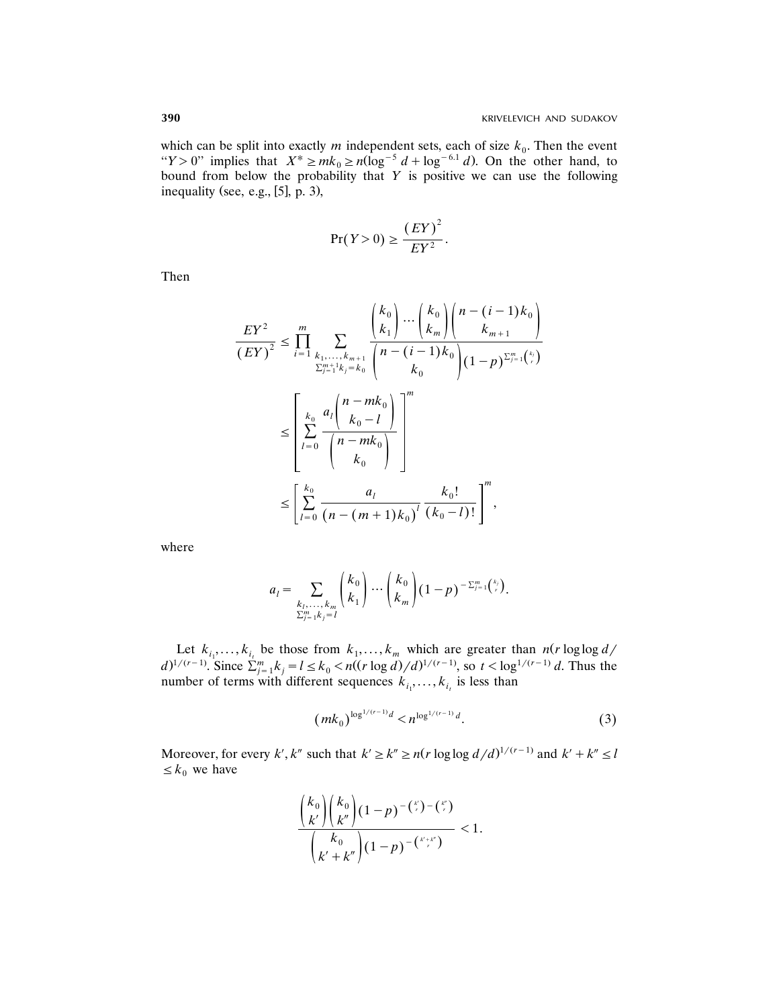which can be split into exactly  $m$  independent sets, each of size  $k_0$ . Then the event " $Y > 0$ " implies that  $X^* \ge mk_0 \ge n(\log^{-5} d + \log^{-6.1} d)$ . On the other hand, to bound from below the probability that *Y* is positive we can use the following inequality (see, e.g.,  $[5]$ , p. 3),

$$
\Pr(Y > 0) \ge \frac{\left( EY \right)^2}{E Y^2}.
$$

Then

$$
\frac{EY^{2}}{(EY)^{2}} \leq \prod_{i=1}^{m} \sum_{\substack{k_{1},...,k_{m+1} \\ \sum_{j=1}^{m+1} k_{j}=k_{0}}} \frac{\binom{k_{0}}{k_{1}} \cdots \binom{k_{0}}{k_{m}} \binom{n-(i-1)k_{0}}{k_{m+1}}}{\binom{n-(i-1)k_{0}}{k_{0}} (1-p)^{\sum_{j=1}^{m} \binom{k_{j}}{r}}}
$$
\n
$$
\leq \left[ \sum_{l=0}^{k_{0}} \frac{a_{l} \binom{n-mk_{0}}{k_{0}-l}}{\binom{n-mk_{0}}{k_{0}}}\right]^{m}
$$
\n
$$
\leq \left[ \sum_{l=0}^{k_{0}} \frac{a_{l}}{\binom{n-(m+1)k_{0}}{k_{0}}^{l}} \frac{k_{0}!}{\binom{k_{0}-l}{k_{0}-l}!} \right]^{m},
$$

where

$$
a_l = \sum_{\substack{k_l,\ldots,k_m \\ \sum_{j=1}^m k_j = l}} \binom{k_0}{k_1} \cdots \binom{k_0}{k_m} (1-p)^{-\sum_{j=1}^m \binom{k_j}{r}}.
$$

Let  $k_{i_1}, \ldots, k_{i_t}$  be those from  $k_1, \ldots, k_m$  which are greater than  $n(r \log \log d /$  $d^{1/(r-1)}$ . Since  $\sum_{j=1}^{m} k_j = l \le k_0 < n((r \log d)/d)^{1/(r-1)}$ , so  $t < \log^{1/(r-1)} d$ . Thus the number of terms with different sequences  $k_{i_1}, \ldots, k_{i_t}$  is less than

$$
(mk_0)^{\log^{1/(r-1)}d} < n^{\log^{1/(r-1)}d}.\tag{3}
$$

Moreover, for every *k'*, *k''* such that  $k' \ge k'' \ge n(r \log \log d/d)^{1/(r-1)}$  and  $k' + k'' \le l$  $\leq k_0$  we have

$$
\frac{{\binom{k_0}{k'}} {\binom{k_0}{k'}} (1-p)^{-\binom{k}{r}-\binom{k}{r}}}{{\binom{k_0}{k'+k''}} (1-p)^{-\binom{k'+k''}{r}}} < 1.
$$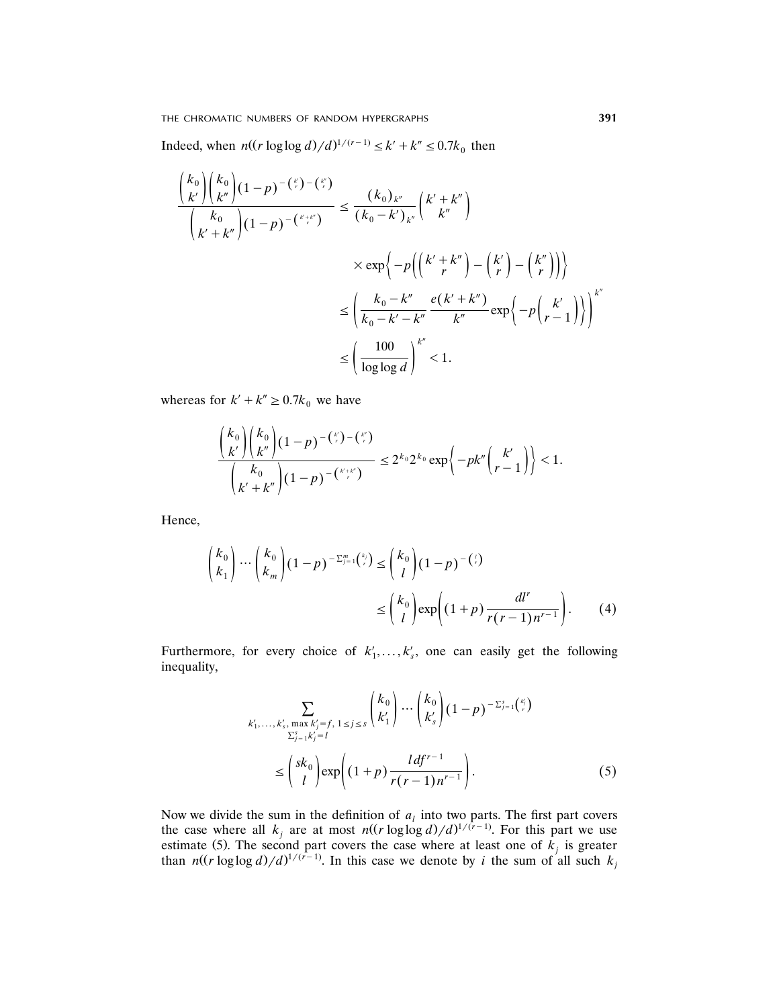THE CHROMATIC NUMBERS OF RANDOM HYPERGRAPHS **391**

Indeed, when  $n((r \log \log d)/d)^{1/(r-1)} \leq k' + k'' \leq 0.7k_0$  then

$$
\frac{{\binom{k_0}{k'}} {\binom{k_0}{k''}} (1-p)^{-\binom{k'}{r}-\binom{k'}{r}}}{\binom{k_0}{k' + k''}} \leq \frac{(k_0)_{k''}}{k_0-k' \choose k''} \times \exp\left\{-p\left(\binom{k'+k''}{r} - \binom{k'}{r} - \binom{k''}{r}\right)\right\}
$$

$$
\leq \frac{k_0-k''}{k_0-k'-k''} \frac{e(k'+k'')}{k''} \exp\left\{-p\left(\binom{k'+k''}{r} - \binom{k'}{r-1}\right)\right\}^{k''}
$$

$$
\leq \left(\frac{100}{\log \log d}\right)^{k''} < 1.
$$

whereas for  $k' + k'' \geq 0.7k_0$  we have

$$
\frac{{\binom{k_0}{k'}} {\binom{k_0}{k'}} (1-p)^{-\binom{\nu}{r}-\binom{\nu}{r}}}{{\binom{k_0}{k'+k''}} (1-p)^{-\binom{\nu+\nu}{r}}} \leq 2^{k_0} 2^{k_0} \exp \bigg\{-pk'' {\binom{k'}{r-1}} \bigg\} < 1.
$$

Hence,

$$
\begin{pmatrix} k_0 \\ k_1 \end{pmatrix} \cdots \begin{pmatrix} k_0 \\ k_m \end{pmatrix} (1-p)^{-\sum_{j=1}^m {k \choose r}} \leq {k_0 \choose l} (1-p)^{-{j \choose r}}
$$

$$
\leq {k_0 \choose l} \exp\left((1+p)\frac{dl^r}{r(r-1)n^{r-1}}\right). \tag{4}
$$

Furthermore, for every choice of  $k'_1, \ldots, k'_s$ , one can easily get the following inequality,

$$
\sum_{\substack{k'_1,\ldots,k'_s,\max k'_j=f,\ 1\leq j\leq s}} \binom{k_0}{k'_1} \cdots \binom{k_0}{k'_s} (1-p)^{-\sum_{j=1}^s \binom{k'_j}{r}}
$$
\n
$$
\leq \binom{sk_0}{l} \exp\left((1+p)\frac{ldf^{r-1}}{r(r-1)n^{r-1}}\right).
$$
\n(5)

Now we divide the sum in the definition of  $a_l$  into two parts. The first part covers the case where all  $k_j$  are at most  $n((r \log \log d)/d)^{1/(r-1)}$ . For this part we use estimate (5). The second part covers the case where at least one of  $k_j$  is greater than  $n((r \log \log d)/d)^{1/(r-1)}$ . In this case we denote by *i* the sum of all such  $k_j$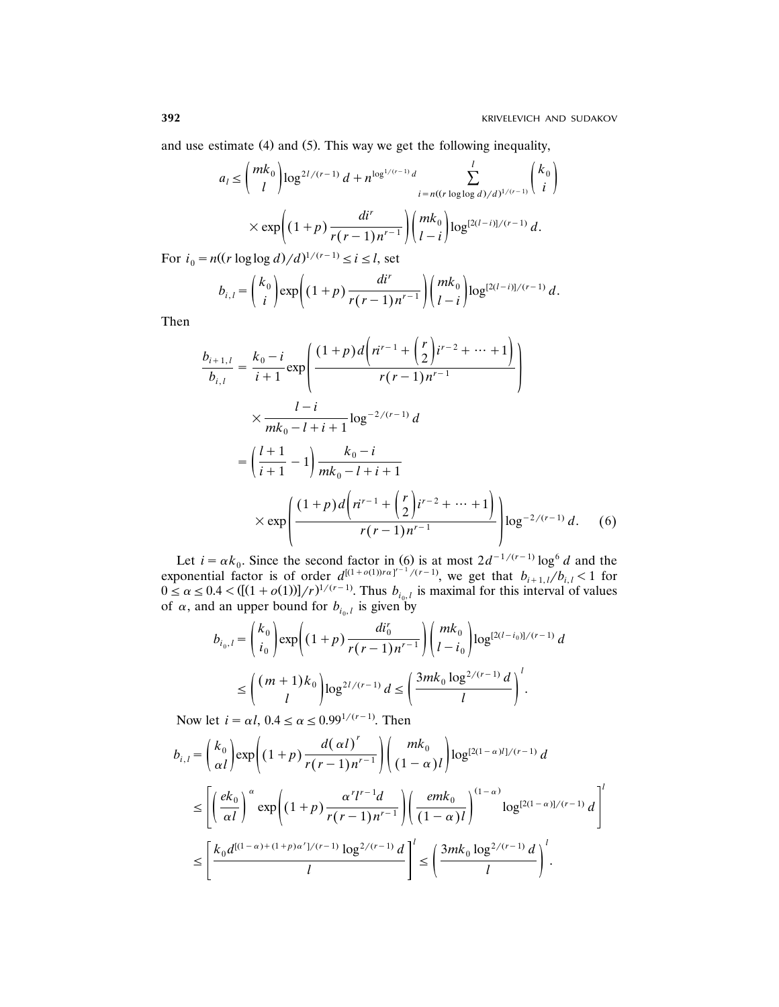and use estimate  $(4)$  and  $(5)$ . This way we get the following inequality,

$$
a_{l} \leq {mk_{0} \choose l} \log^{2l/(r-1)} d + n^{\log^{1/(r-1)} d} \sum_{i=n((r \log \log d)/d)^{1/(r-1)}}^{l} {k_{0} \choose i}
$$

$$
\times \exp \left( (1+p) \frac{di^{r}}{r(r-1)n^{r-1}} \right) {mk_{0} \choose l-i} \log^{[2(l-i)]/(r-1)} d.
$$

For  $i_0 = n((r \log \log d)/d)^{1/(r-1)} \le i \le l$ , set

$$
b_{i,l} = {k_0 \choose i} \exp\left((1+p)\frac{di^r}{r(r-1)n^{r-1}}\right) {mk_0 \choose l-i} \log^{[2(l-i)]/(r-1)} d.
$$

Then

$$
\frac{b_{i+1,l}}{b_{i,l}} = \frac{k_0 - i}{i+1} \exp\left(\frac{(1+p)d\left(n^{r-1} + \left(\frac{r}{2}\right)i^{r-2} + \dots + 1\right)}{r(r-1)n^{r-1}}\right)
$$
\n
$$
\times \frac{l-i}{mk_0 - l + i + 1} \log^{-2/(r-1)} d
$$
\n
$$
= \left(\frac{l+1}{i+1} - 1\right) \frac{k_0 - i}{mk_0 - l + i + 1}
$$
\n
$$
\times \exp\left(\frac{(1+p)d\left(n^{r-1} + \left(\frac{r}{2}\right)i^{r-2} + \dots + 1\right)}{r(r-1)n^{r-1}}\right) \log^{-2/(r-1)} d. \quad (6)
$$

Let  $i = \alpha k_0$ . Since the second factor in (6) is at most  $2d^{-1/(r-1)} \log^6 d$  and the exponential factor is of order  $d^{[(1+o(1))ra]^{r-1}/(r-1)}$ , we get that  $b_{i+1,l}/b_{i,l} < 1$  for  $0 \le \alpha \le 0.4 < ([(1 + o(1))] / r)^{1/(r-1)}$ . Thus  $b_{i_0, l}$  is maximal for this interval of values of  $\alpha$ , and an upper bound for  $b_{i_0, l}$  is given by

$$
b_{i_0,l} = \binom{k_0}{i_0} \exp\left((1+p)\frac{di_0^r}{r(r-1)n^{r-1}}\right) \binom{mk_0}{l-i_0} \log^{[2(l-i_0)]/(r-1)} d
$$
  

$$
\leq \binom{(m+1)k_0}{l} \log^{2l/(r-1)} d \leq \left(\frac{3mk_0 \log^{2/(r-1)} d}{l}\right)^l.
$$

Now let  $i = \alpha l$ ,  $0.4 \leq \alpha \leq 0.99^{1/(r-1)}$ . Then

$$
b_{i,l} = \binom{k_0}{\alpha l} \exp\left((1+p)\frac{d(\alpha l)}{r(r-1)n^{r-1}}\right) \binom{mk_0}{(1-\alpha)l} \log^{[2(1-\alpha)l]/(r-1)} d
$$
  

$$
\leq \left[ \left(\frac{ek_0}{\alpha l}\right)^{\alpha} \exp\left((1+p)\frac{\alpha^r l^{r-1} d}{r(r-1)n^{r-1}}\right) \left(\frac{emk_0}{(1-\alpha)l}\right)^{(1-\alpha)} \log^{[2(1-\alpha)]/(r-1)} d \right]^l
$$
  

$$
\leq \left[ \frac{k_0 d^{[(1-\alpha)+(1+p)\alpha^r]/(r-1)} \log^{2/(r-1)} d}{l} \right]^l \leq \left( \frac{3mk_0 \log^{2/(r-1)} d}{l} \right)^l.
$$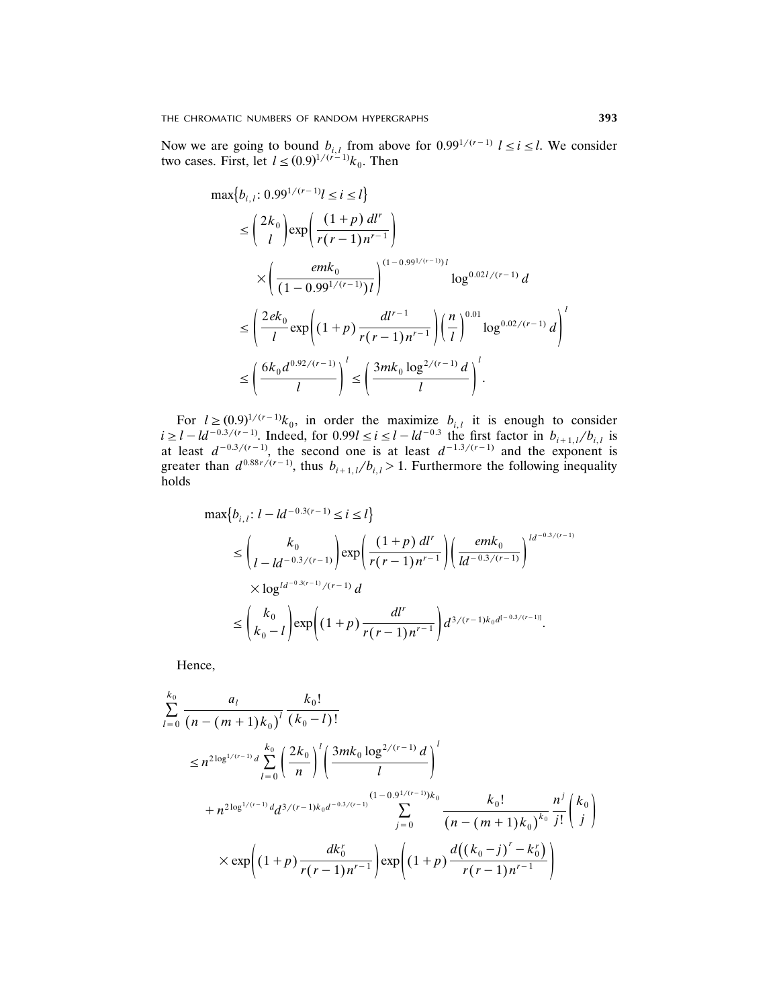Now we are going to bound  $b_{i,l}$  from above for  $0.99^{1/(r-1)}$   $l \le i \le l$ . We consider two cases. First, let  $l \le (0.9)^{1/(r-1)} k_0$ . Then

$$
\max\{b_{i,l}: 0.99^{1/(r-1)}l \le i \le l\}
$$
\n
$$
\le \binom{2k_0}{l} \exp\left(\frac{(1+p) dl^r}{r(r-1)n^{r-1}}\right)
$$
\n
$$
\times \left(\frac{emk_0}{(1-0.99^{1/(r-1)})l}\right)^{(1-0.99^{1/(r-1)})l} \log^{0.02l/(r-1)} d
$$
\n
$$
\le \left(\frac{2ek_0}{l} \exp\left((1+p)\frac{dl^{r-1}}{r(r-1)n^{r-1}}\right) \left(\frac{n}{l}\right)^{0.01} \log^{0.02/(r-1)} d\right)^l
$$
\n
$$
\le \left(\frac{6k_0d^{0.92/(r-1)}}{l}\right)^l \le \left(\frac{3mk_0\log^{2/(r-1)}d}{l}\right)^l.
$$

For  $l \ge (0.9)^{1/(r-1)}k_0$ , in order the maximize  $b_{i,l}$  it is enough to consider  $i \ge l - ld^{-0.3/(r-1)}$ . Indeed, for  $0.99l \le i \le l - ld^{-0.3}$  the first factor in  $b_{i+1,l}/b_{i,l}$  is at least  $d^{-0.3/(r-1)}$ , the second one is at least  $d^{-1.3/(r-1)}$  and the exponent is greater than  $d^{0.88r/(r-1)}$ , thus  $b_{i+1,l}/b_{i,l} > 1$ . Furthermore the following inequality holds

$$
\max\{b_{i,l}: l - ld^{-0.3(r-1)} \le i \le l\}
$$
\n
$$
\le \binom{k_0}{l - ld^{-0.3(r-1)}} \exp\left(\frac{(1+p) dl^r}{r(r-1)n^{r-1}}\right) \left(\frac{emk_0}{ld^{-0.3/(r-1)}}\right)^{ld^{-0.3/(r-1)}}
$$
\n
$$
\times \log^{ld^{-0.3(r-1)}/(r-1)} d
$$
\n
$$
\le \binom{k_0}{k_0 - l} \exp\left((1+p)\frac{dl^r}{r(r-1)n^{r-1}}\right) d^{3/(r-1)k_0d^{[-0.3/(r-1)]}}.
$$

Hence,

$$
\sum_{l=0}^{k_0} \frac{a_l}{(n-(m+1)k_0)^l} \frac{k_0!}{(k_0-l)!}
$$
\n
$$
\leq n^{2\log^{1/(r-1)}d} \sum_{l=0}^{k_0} \left(\frac{2k_0}{n}\right)^l \left(\frac{3mk_0 \log^{2/(r-1)}d}{l}\right)^l
$$
\n
$$
+ n^{2\log^{1/(r-1)}d} d^{3/(r-1)k_0 d^{-0.3/(r-1)}} \sum_{j=0}^{(1-0.9^{1/(r-1)})k_0} \frac{k_0!}{(n-(m+1)k_0)^{k_0}} \frac{n^j}{j!} {k_0 \choose j}
$$
\n
$$
\times \exp\left((1+p)\frac{dk_0^r}{r(r-1)n^{r-1}}\right) \exp\left((1+p)\frac{d((k_0-j)^r-k_0^r)}{r(r-1)n^{r-1}}\right)
$$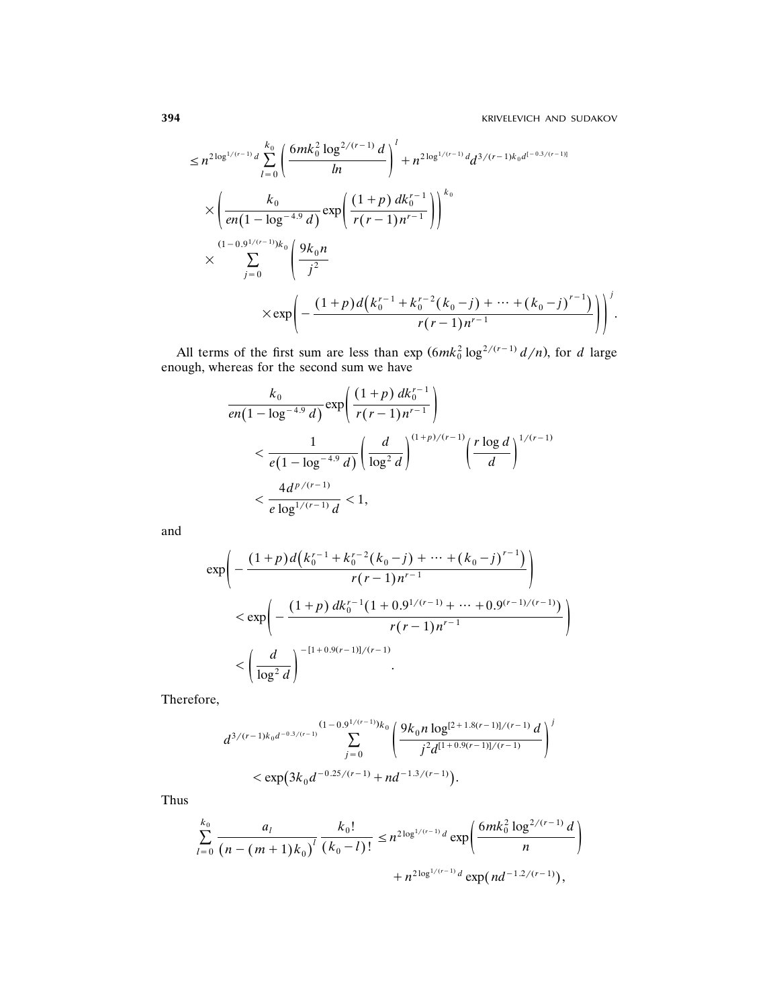$$
\leq n^{2\log^{1/(r-1)}} d \sum_{l=0}^{k_0} \left( \frac{6mk_0^2 \log^{2/(r-1)} d}{ln} \right)^l + n^{2\log^{1/(r-1)}} d d^{3/(r-1)k_0 d^{[-0.3/(r-1)]}}
$$
  

$$
\times \left( \frac{k_0}{en(1-\log^{-4.9} d)} exp\left( \frac{(1+p) dk_0^{r-1}}{r(r-1)n^{r-1}} \right) \right)^{k_0}
$$
  

$$
\times \sum_{j=0}^{(1-0.9^{1/(r-1)})k_0} \left( \frac{9k_0 n}{j^2} \right)^{k_0}
$$
  

$$
\times exp\left( - \frac{(1+p) d(k_0^{r-1} + k_0^{r-2}(k_0 - j) + \dots + (k_0 - j)^{r-1})}{r(r-1)n^{r-1}} \right) \right)^j.
$$

All terms of the first sum are less than  $\exp{(6mk_0^2 \log^{2/(r-1)} d/n)}$ , for *d* large enough, whereas for the second sum we have

$$
\frac{k_0}{en(1-\log^{-4.9}d)} \exp\left(\frac{(1+p) dk_0^{r-1}}{r(r-1)n^{r-1}}\right)
$$
  

$$
< \frac{1}{e(1-\log^{-4.9}d)} \left(\frac{d}{\log^2 d}\right)^{(1+p)/(r-1)} \left(\frac{r \log d}{d}\right)^{1/(r-1)}
$$
  

$$
< \frac{4d^{p/(r-1)}}{e \log^{1/(r-1)}d} < 1,
$$

and

$$
\exp\left(-\frac{(1+p)d\left(k_0^{r-1}+k_0^{r-2}(k_0-j)+\cdots+(k_0-j)^{r-1}\right)}{r(r-1)n^{r-1}}\right) \n< \exp\left(-\frac{(1+p)dk_0^{r-1}(1+0.9^{1/(r-1)}+\cdots+0.9^{(r-1)/(r-1)})}{r(r-1)n^{r-1}}\right) \n< \left(\frac{d}{\log^2 d}\right)^{-[1+0.9(r-1)]/(r-1)}.
$$

Therefore,

$$
d^{3/(r-1)k_0d^{-0.3/(r-1)}}\sum_{j=0}^{(1-0.9^{1/(r-1)})k_0}\left(\frac{9k_0n\log^{[2+1.8(r-1)]/(r-1)}d}{j^2d^{[1+0.9(r-1)]/(r-1)}}\right)^j\\&\lt \exp\left(3k_0d^{-0.25/(r-1)}+nd^{-1.3/(r-1)}\right).
$$

Thus

$$
\sum_{l=0}^{k_0} \frac{a_l}{(n-(m+1)k_0)^l} \frac{k_0!}{(k_0-l)!} \leq n^{2\log^{1/(r-1)}d} \exp\left(\frac{6mk_0^2\log^{2/(r-1)}d}{n}\right) + n^{2\log^{1/(r-1)}d} \exp(nd^{-1.2/(r-1)}),
$$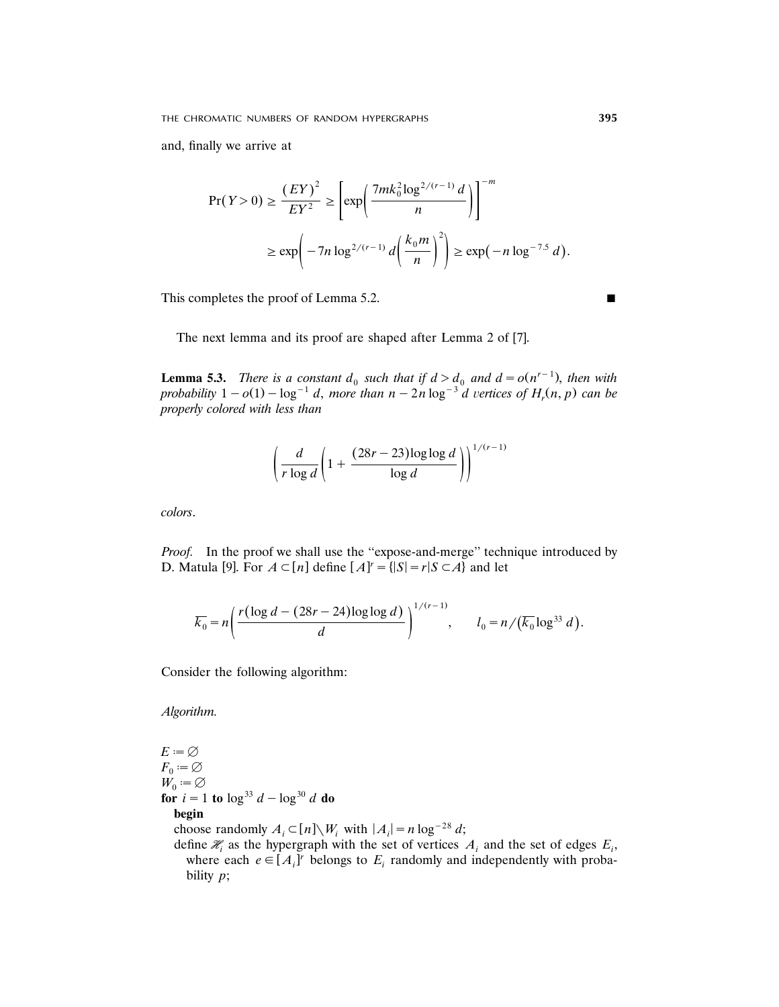and, finally we arrive at

$$
\Pr(Y > 0) \ge \frac{(EY)^2}{EY^2} \ge \left[ \exp\left(\frac{7mk_0^2 \log^{2/(r-1)} d}{n}\right) \right]^{-m}
$$
\n
$$
\ge \exp\left(-7n \log^{2/(r-1)} d\left(\frac{k_0 m}{n}\right)^2\right) \ge \exp\left(-n \log^{-7.5} d\right).
$$

This completes the proof of Lemma 5.2.

The next lemma and its proof are shaped after Lemma 2 of [7].

**Lemma 5.3.** *There is a constant*  $d_0$  *such that if*  $d > d_0$  *and*  $d = o(n^{r-1})$ *, then with probability*  $1 - o(1) - \log^{-1} d$ , *more than*  $n - 2n \log^{-3} d$  vertices of  $H_r(n, p)$  can be *properly colored with less than*

$$
\left(\frac{d}{r\log d}\left(1+\frac{(28r-23)\log\log d}{\log d}\right)\right)^{1/(r-1)}
$$

*colors*.

*Proof.* In the proof we shall use the ''expose-and-merge'' technique introduced by D. Matula [9]. For  $A \subset [n]$  define  $[A]^r = \{ |S| = r | S \subset A \}$  and let

$$
\overline{k_0} = n \left( \frac{r (\log d - (28r - 24) \log \log d)}{d} \right)^{1/(r-1)}, \qquad l_0 = n / (\overline{k_0} \log^{33} d).
$$

Consider the following algorithm:

*Algorithm.*

 $E=\emptyset$  $F_0 := \varnothing$  $W_0 := \varnothing$ **for**  $i = 1$  **to**  $\log^{33} d - \log^{30} d$  **do begin** choose randomly  $A_i \subset [n] \setminus W_i$  with  $|A_i| = n \log^{-28} d$ ; define  $\mathcal{H}_i$  as the hypergraph with the set of vertices  $A_i$  and the set of edges  $E_i$ ,

where each  $e \in [A_i]^r$  belongs to  $E_i$  randomly and independently with probability *p*;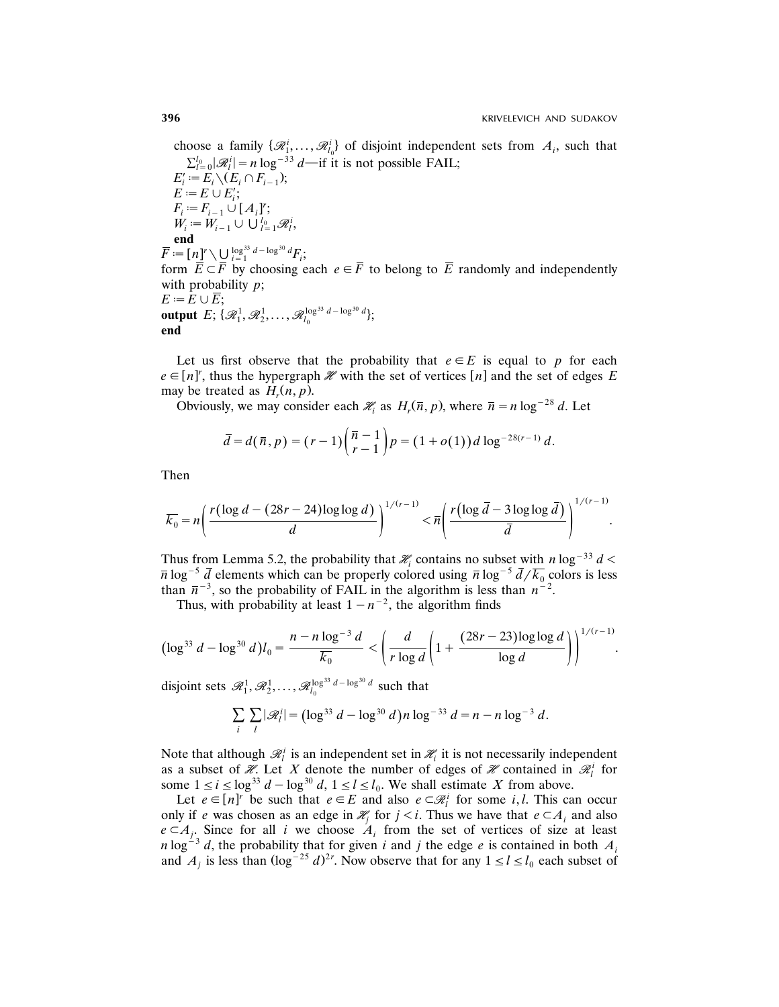choose a family  $\{\mathcal{R}_1^i, \ldots, \mathcal{R}_{l_0}^i\}$  of disjoint independent sets from  $A_i$ , such that  $\sum_{l=0}^{l_0} |\mathcal{R}_l^i| = n \log^{-33} d$ —if it is not possible FAIL;

 $E'_{i} := E_{i} \setminus (E_{i} \cap F_{i-1});$  $E = E \cup E'_i;$  $F_i := F_{i-1} \cup [A_i]^r;$ <br>  $W_i := W_{i-1} \cup \bigcup_{l=1}^{l_0} \mathcal{R}_l^i,$ **end**  $\overline{F} := [\begin{matrix} n \end{matrix}]^r \setminus \bigcup_{i=1}^{\log^{33} d - \log^{30} d} F_i;$ form  $\overline{E} \subset \overline{F}$  by choosing each  $e \in \overline{F}$  to belong to  $\overline{E}$  randomly and independently with probability *p*;  $E := E \cup \overline{E}$ ; output  $E; \{ \mathscr{R}^1_1, \mathscr{R}^1_2, \ldots, \mathscr{R}^{\log^{33} d - \log^{30} d}_{l_0} \};$ **end**

Let us first observe that the probability that  $e \in E$  is equal to p for each  $e \in [n]^r$ , thus the hypergraph  $\mathcal X$  with the set of vertices  $[n]$  and the set of edges *E* may be treated as  $H_r(n, p)$ .

Obviously, we may consider each  $\mathcal{H}_i$  as  $H_r(\bar{n}, p)$ , where  $\bar{n} = n \log^{-28} d$ . Let

$$
\bar{d} = d(\bar{n}, p) = (r-1) \binom{\bar{n}-1}{r-1} p = (1+o(1)) d \log^{-28(r-1)} d.
$$

Then

$$
\overline{k_0} = n \left( \frac{r (\log d - (28r - 24) \log \log d)}{d} \right)^{1/(r-1)} < \overline{n} \left( \frac{r (\log \overline{d} - 3 \log \log \overline{d})}{\overline{d}} \right)^{1/(r-1)}.
$$

Thus from Lemma 5.2, the probability that  $\mathcal{H}_i$  contains no subset with *n* log<sup>-33</sup> *d* <  $\bar{n} \log^{-5} \bar{d}$  elements which can be properly colored using  $\bar{n} \log^{-5} \bar{d}/\bar{k_0}$  colors is less than  $\bar{n}^{-3}$ , so the probability of FAIL in the algorithm is less than  $n^{-2}$ .

Thus, with probability at least  $1-n^{-2}$ , the algorithm finds

$$
(\log^{33} d - \log^{30} d) l_0 = \frac{n - n \log^{-3} d}{\overline{k_0}} < \left(\frac{d}{r \log d} \left(1 + \frac{(28r - 23) \log \log d}{\log d}\right)\right)^{1/(r-1)}.
$$

disjoint sets  $\mathscr{R}_1^1, \mathscr{R}_2^1, \ldots, \mathscr{R}_{l_0}^{\log^{33} d - \log^{30} d}$  such that

$$
\sum_{i} \sum_{l} |\mathcal{R}_{l}^{i}| = (\log^{33} d - \log^{30} d) n \log^{-33} d = n - n \log^{-3} d.
$$

Note that although  $\mathcal{R}_l^i$  is an independent set in  $\mathcal{H}_i$  it is not necessarily independent as a subset of  $\mathcal{H}$ . Let *X* denote the number of edges of  $\mathcal{H}$  contained in  $\mathcal{R}_l^i$  for some  $1 \le i \le \log^{33} d - \log^{30} d$ ,  $1 \le l \le l_0$ . We shall estimate *X* from above.

Let  $e \in [n]^r$  be such that  $e \in E$  and also  $e \subset \mathcal{R}_l^i$  for some *i*, *l*. This can occur only if *e* was chosen as an edge in  $\mathcal{H}_i$  for  $j < i$ . Thus we have that  $e \subset A_i$  and also  $e \subset A_i$ . Since for all *i* we choose  $A_i$  from the set of vertices of size at least  $n \log^{-3} d$ , the probability that for given *i* and *j* the edge *e* is contained in both  $A_i$ and  $A_j$  is less than  $(\log^{-25} d)^{2r}$ . Now observe that for any  $1 \le l \le l_0$  each subset of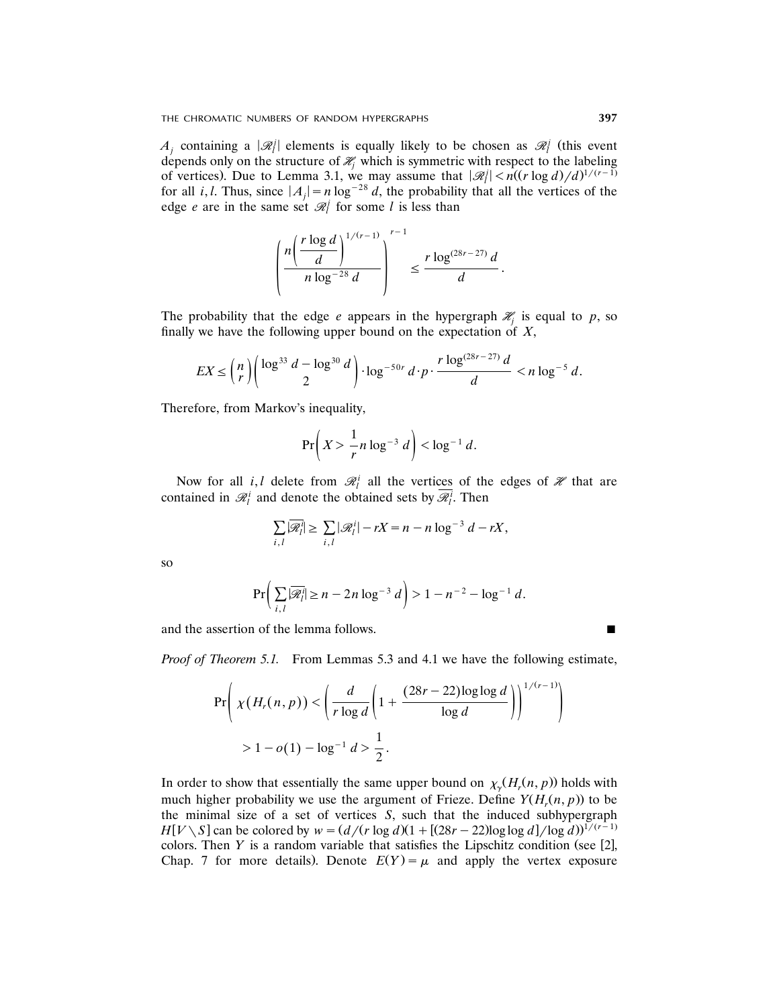l  $A_j$  containing a  $|\mathcal{R}_l|$  elements is equally likely to be chosen as  $\mathcal{R}_l$  (this event | depends only on the structure of  $\mathcal{H}_j$  which is symmetric with respect to the labeling of vertices). Due to Lemma 3.1, we may assume that  $|\mathcal{R}_l| < n((r \log d)/d)^{1/(r-1)}$ for all *i*, *l*. Thus, since  $|A_i| = n \log^{-28} d$ , the probability that all the vertices of the edge *e* are in the same set  $\mathcal{R}$ <sup>*j*</sup> for some *l* is less than

$$
\left(\frac{n\left(\frac{r\log d}{d}\right)^{1/(r-1)}}{n\log^{-28}d}\right)^{r-1} \leq \frac{r\log^{(28r-27)}d}{d}.
$$

The probability that the edge *e* appears in the hypergraph  $\mathcal{H}_j$  is equal to *p*, so finally we have the following upper bound on the expectation of *X*,

$$
EX \le {n \choose r} \bigg( \log^{33} d - \log^{30} d \bigg) \cdot \log^{-50r} d \cdot p \cdot \frac{r \log^{(28r - 27)} d}{d} < n \log^{-5} d.
$$

Therefore, from Markov's inequality,

$$
\Pr\left(X > \frac{1}{r}n\log^{-3}d\right) < \log^{-1}d.
$$

Now for all *i*, *l* delete from  $\mathcal{R}_l^i$  all the vertices of the edges of  $\mathcal{H}$  that are contained in  $\mathcal{R}_l^i$  and denote the obtained sets by  $\overline{\mathcal{R}_l^i}$ . Then

$$
\sum_{i,l} |\overline{\mathcal{R}}_l^i| \ge \sum_{i,l} |\mathcal{R}_l^i| - rX = n - n \log^{-3} d - rX,
$$

so

$$
\Pr\bigg(\sum_{i,l}|\overline{\mathscr{R}}_l^i|\geq n-2n\log^{-3}d\bigg)>1-n^{-2}-\log^{-1}d.
$$

and the assertion of the lemma follows.

*Proof of Theorem 5.1.* From Lemmas 5.3 and 4.1 we have the following estimate,

$$
\Pr\left(\chi(H_r(n, p)) < \left(\frac{d}{r\log d} \left(1 + \frac{(28r - 22)\log\log d}{\log d}\right)\right)^{1/(r-1)}\right) \\
> 1 - o(1) - \log^{-1} d > \frac{1}{2}.
$$

In order to show that essentially the same upper bound on  $\chi_{\gamma}(H_r(n, p))$  holds with much higher probability we use the argument of Frieze. Define  $Y(H_r(n, p))$  to be the minimal size of a set of vertices *S*, such that the induced subhypergraph  $H[V \setminus S]$  can be colored by  $w = \frac{d}{r \log d}(1 + \frac{[(28r - 22) \log \log d]}{\log d})^{1/(r-1)}$ colors. Then  $Y$  is a random variable that satisfies the Lipschitz condition (see [2], Chap. 7 for more details. Denote  $E(Y) = \mu$  and apply the vertex exposure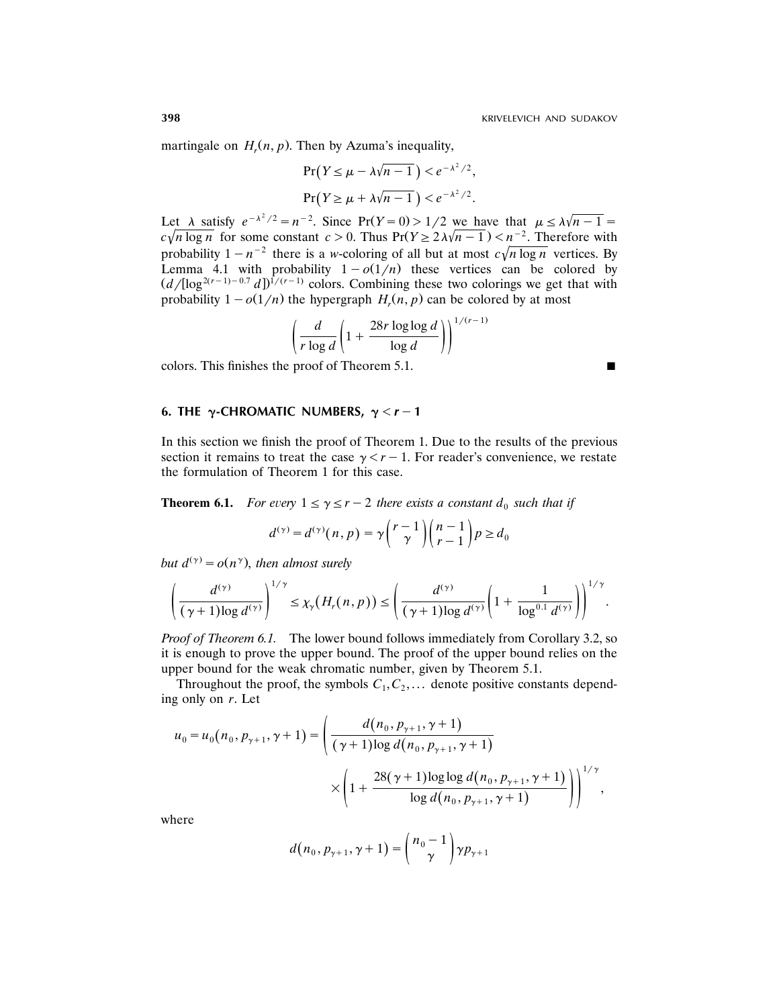martingale on  $H_r(n, p)$ . Then by Azuma's inequality,

$$
\Pr(Y \le \mu - \lambda \sqrt{n-1}) < e^{-\lambda^2/2},
$$
\n
$$
\Pr(Y \ge \mu + \lambda \sqrt{n-1}) < e^{-\lambda^2/2}.
$$

Let  $\lambda$  satisfy  $e^{-\lambda^2/2} = n^{-2}$ . Since  $Pr(Y=0) > 1/2$  we have that  $\mu \le \lambda \sqrt{n-1} =$  $c\sqrt{n \log n}$  for some constant  $c > 0$ . Thus  $Pr(Y \ge 2\lambda\sqrt{n-1}) < n^{-2}$ . Therefore with probability  $1-n^{-2}$  there is a *w*-coloring of all but at most  $c\sqrt{n \log n}$  vertices. By Lemma 4.1 with probability  $1-o(1/n)$  these vertices can be colored by  $(d/[\log^{2(r-1)-0.7} d])^{1/(r-1)}$  colors. Combining these two colorings we get that with probability  $1-o(1/n)$  the hypergraph  $H_r(n, p)$  can be colored by at most

$$
\left(\frac{d}{r\log d}\left(1+\frac{28r\log\log d}{\log d}\right)\right)^{1/(r-1)}
$$

colors. This finishes the proof of Theorem 5.1.  $\blacksquare$ 

**6. THE**  $\gamma$ -CHROMATIC NUMBERS,  $\gamma < r-1$ 

In this section we finish the proof of Theorem 1. Due to the results of the previous section it remains to treat the case  $\gamma < r-1$ . For reader's convenience, we restate the formulation of Theorem 1 for this case.

**Theorem 6.1.** *For every*  $1 \leq \gamma \leq r-2$  *there exists a constant*  $d_0$  *such that if* 

$$
d^{(\gamma)} = d^{(\gamma)}(n, p) = \gamma \binom{r-1}{\gamma} \binom{n-1}{r-1} p \ge d_0
$$

*but*  $d^{(\gamma)} = o(n^{\gamma})$ , *then almost surely* 

$$
\left(\frac{d^{(\gamma)}}{(\gamma+1)\log d^{(\gamma)}}\right)^{1/\gamma}\leq \chi_{\gamma}\big(H_r(n,p)\big)\leq \left(\frac{d^{(\gamma)}}{(\gamma+1)\log d^{(\gamma)}}\left(1+\frac{1}{\log^{0.1} d^{(\gamma)}}\right)\right)^{1/\gamma}.
$$

*Proof of Theorem 6.1.* The lower bound follows immediately from Corollary 3.2, so it is enough to prove the upper bound. The proof of the upper bound relies on the upper bound for the weak chromatic number, given by Theorem 5.1.

Throughout the proof, the symbols  $C_1, C_2, \ldots$  denote positive constants depending only on *r*. Let

$$
u_0 = u_0(n_0, p_{\gamma+1}, \gamma+1) = \left(\frac{d(n_0, p_{\gamma+1}, \gamma+1)}{(\gamma+1)\log d(n_0, p_{\gamma+1}, \gamma+1)}\right)
$$

$$
\times \left(1 + \frac{28(\gamma+1)\log\log d(n_0, p_{\gamma+1}, \gamma+1)}{\log d(n_0, p_{\gamma+1}, \gamma+1)}\right)\right)^{1/\gamma},
$$

where

$$
d(n_0, p_{\gamma+1}, \gamma+1) = {n_0-1 \choose \gamma} \gamma p_{\gamma+1}
$$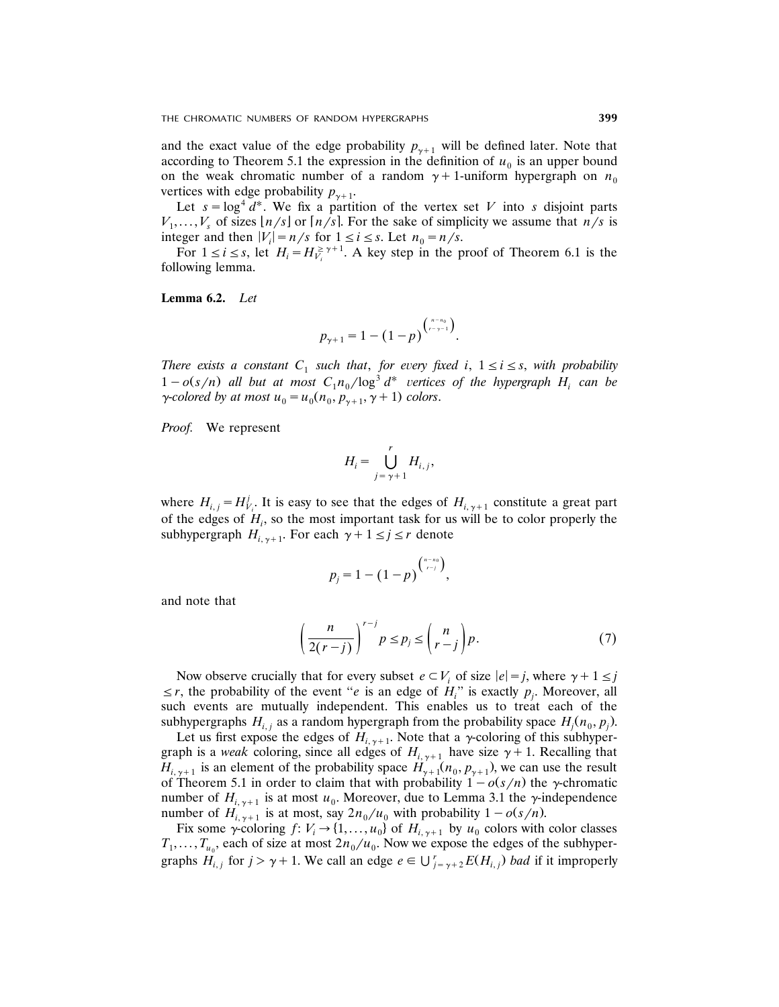and the exact value of the edge probability  $p_{v+1}$  will be defined later. Note that according to Theorem 5.1 the expression in the definition of  $u_0$  is an upper bound on the weak chromatic number of a random  $\gamma + 1$ -uniform hypergraph on  $n_0$ vertices with edge probability  $p_{\gamma+1}$ .

Let  $s = \log^4 d^*$ . We fix a partition of the vertex set *V* into *s* disjoint parts  $V_1, \ldots, V_s$  of sizes  $\lfloor n/s \rfloor$  or  $\lfloor n/s \rfloor$ . For the sake of simplicity we assume that  $n/s$  is integer and then  $|V_i| = n/s$  for  $1 \le i \le s$ . Let  $n_0 = n/s$ .

For  $1 \le i \le s$ , let  $H_i = H_{V_i}^{\ge \gamma+1}$ . A key step in the proof of Theorem 6.1 is the following lemma.

**Lemma 6.2.** *Let*

$$
p_{\gamma+1} = 1 - (1-p)^{\binom{n-n_0}{r-\gamma-1}}.
$$

*There exists a constant*  $C_1$  *such that, for every fixed i,*  $1 \le i \le s$ *, with probability*  $1 - o(s/n)$  all but at most  $C_1 n_0 / \log^3 d^*$  vertices of the hypergraph  $H_i$  can be  $\gamma$ -colored by at most  $u_0 = u_0(n_0, p_{\gamma+1}, \gamma + 1)$  colors.

*Proof.* We represent

$$
H_i = \bigcup_{j=\gamma+1}^r H_{i,j},
$$

where  $H_{i,j} = H_{V_i}^j$ . It is easy to see that the edges of  $H_{i,\gamma+1}$  constitute a great part of the edges of *H* , so the most important task for us will be to color properly the *<sup>i</sup>* subhypergraph  $H_{i, \gamma+1}$ . For each  $\gamma + 1 \leq j \leq r$  denote

$$
p_j = 1 - (1-p)^{\binom{n-n_0}{r-j}},
$$

and note that

$$
\left(\frac{n}{2(r-j)}\right)^{r-j} p \le p_j \le \binom{n}{r-j} p. \tag{7}
$$

Now observe crucially that for every subset  $e \subset V_i$  of size  $|e| = j$ , where  $\gamma + 1 \leq j$  $\leq$ r, the probability of the event "*e* is an edge of  $H_i$ " is exactly  $p_i$ . Moreover, all such events are mutually independent. This enables us to treat each of the subhypergraphs  $H_{i,j}$  as a random hypergraph from the probability space  $H_j(n_0, p_j)$ .

Let us first expose the edges of  $H_{i, \gamma+1}$ . Note that a  $\gamma$ -coloring of this subhypergraph is a *weak* coloring, since all edges of  $H_{i, \gamma+1}$  have size  $\gamma + 1$ . Recalling that  $H_{i, \gamma+1}$  is an element of the probability space  $H_{\gamma+1}(n_0, p_{\gamma+1})$ , we can use the result of Theorem 5.1 in order to claim that with probability  $1 - o(s/n)$  the y-chromatic number of  $H_{i, \gamma+1}$  is at most  $u_0$ . Moreover, due to Lemma 3.1 the  $\gamma$ -independence number of  $H_{i, \gamma+1}$  is at most, say  $2n_0/u_0$  with probability  $1-o(s/n)$ .

Fix some  $\gamma$ -coloring  $f: V_i \to \{1, ..., u_0\}$  of  $H_{i, \gamma+1}$  by  $u_0$  colors with color classes  $T_1, \ldots, T_{u_0}$  each of size at most  $2n_0/u_0$ . Now we expose the edges of the subhypergraphs  $H_{i,j}$  for  $j > \gamma + 1$ . We call an edge  $e \in \bigcup_{j=\gamma+2}^r E(H_{i,j})$  *bad* if it improperly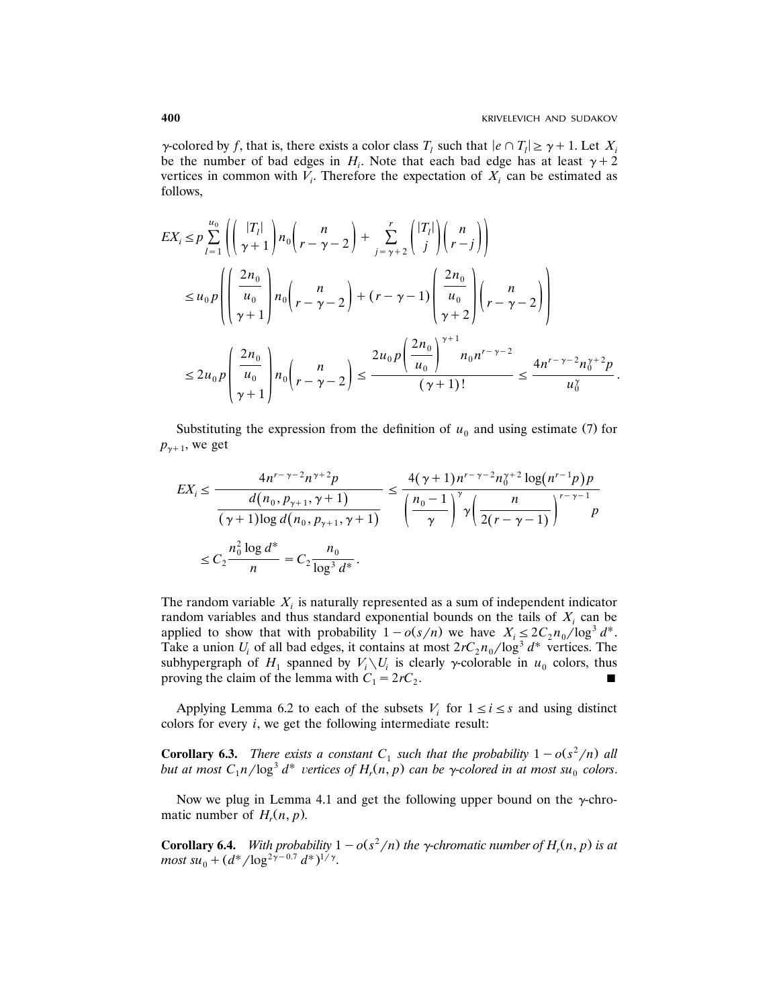$\gamma$ -colored by *f*, that is, there exists a color class  $T_l$  such that  $|e \cap T_l| \geq \gamma + 1$ . Let  $X_i$ be the number of bad edges in  $H_i$ . Note that each bad edge has at least  $\gamma + 2$ vertices in common with  $V_i$ . Therefore the expectation of  $X_i$  can be estimated as follows,

$$
EX_{i} \leq p \sum_{l=1}^{u_{0}} \left( \left( \frac{|T_{l}|}{\gamma + 1} \right) n_{0} \left( r - \gamma - 2 \right) + \sum_{j=\gamma+2}^{r} \left( \frac{|T_{l}|}{j} \right) \left( \frac{n}{r - j} \right) \right)
$$
  
\n
$$
\leq u_{0} p \left( \left( \frac{2n_{0}}{u_{0}} \right) n_{0} \left( r - \gamma - 2 \right) + (r - \gamma - 1) \left( \frac{2n_{0}}{u_{0}} \right) \left( r - \gamma - 2 \right) \right)
$$
  
\n
$$
\leq 2u_{0} p \left( \frac{2n_{0}}{u_{0}} \right) n_{0} \left( r - \gamma - 2 \right) \leq \frac{2u_{0} p \left( \frac{2n_{0}}{u_{0}} \right)^{\gamma+1} n_{0} n^{r - \gamma - 2}}{(\gamma + 1)!} \leq \frac{4n^{r - \gamma - 2} n_{0}^{\gamma + 2} p}{u_{0}^{\gamma}}.
$$

Substituting the expression from the definition of  $u_0$  and using estimate (7) for  $p_{\gamma+1}$ , we get

$$
EX_{i} \leq \frac{4n^{r-\gamma-2}n^{\gamma+2}p}{\frac{d(n_{0}, p_{\gamma+1}, \gamma+1)}{(\gamma+1)\log d(n_{0}, p_{\gamma+1}, \gamma+1)}} \leq \frac{4(\gamma+1)n^{r-\gamma-2}n_{0}^{\gamma+2}\log(n^{r-1}p)p}{\left(\frac{n_{0}-1}{\gamma}\right)^{\gamma}\gamma\left(\frac{n}{2(r-\gamma-1)}\right)^{r-\gamma-1}p}
$$
  

$$
\leq C_{2}\frac{n_{0}^{2}\log d^{*}}{n} = C_{2}\frac{n_{0}}{\log^{3}d^{*}}.
$$

The random variable  $X_i$  is naturally represented as a sum of independent indicator random variables and thus standard exponential bounds on the tails of  $X_i$  can be applied to show that with probability  $1 - o(s/n)$  we have  $X_i \leq 2C_2 n_0 / \log^3 d^*$ . Take a union  $U_i$  of all bad edges, it contains at most  $2rC_2n_0/\log^3 d^*$  vertices. The subhypergraph of  $H_1$  spanned by  $V_i \setminus U_i$  is clearly  $\gamma$ -colorable in  $u_0$  colors, thus proving the claim of the lemma with  $C_1 = 2rC_2$ .

Applying Lemma 6.2 to each of the subsets  $V_i$  for  $1 \le i \le s$  and using distinct colors for every *i*, we get the following intermediate result:

**Corollary 6.3.** *There exists a constant*  $C_1$  *such that the probability*  $1 - o(s^2/n)$  *all* but at most  $C_1 n / \log^3 d^*$  vertices of  $H_r(n, p)$  can be  $\gamma$ -colored in at most su<sub>0</sub> colors.

Now we plug in Lemma 4.1 and get the following upper bound on the  $\gamma$ -chromatic number of  $H_r(n, p)$ .

**Corollary 6.4.** With probability  $1 - o(s^2/n)$  the  $\gamma$ -chromatic number of  $H_r(n, p)$  is at most  $su_0 + (d^*/\log^{2\gamma - 0.7} d^*)^{1/\gamma}$ .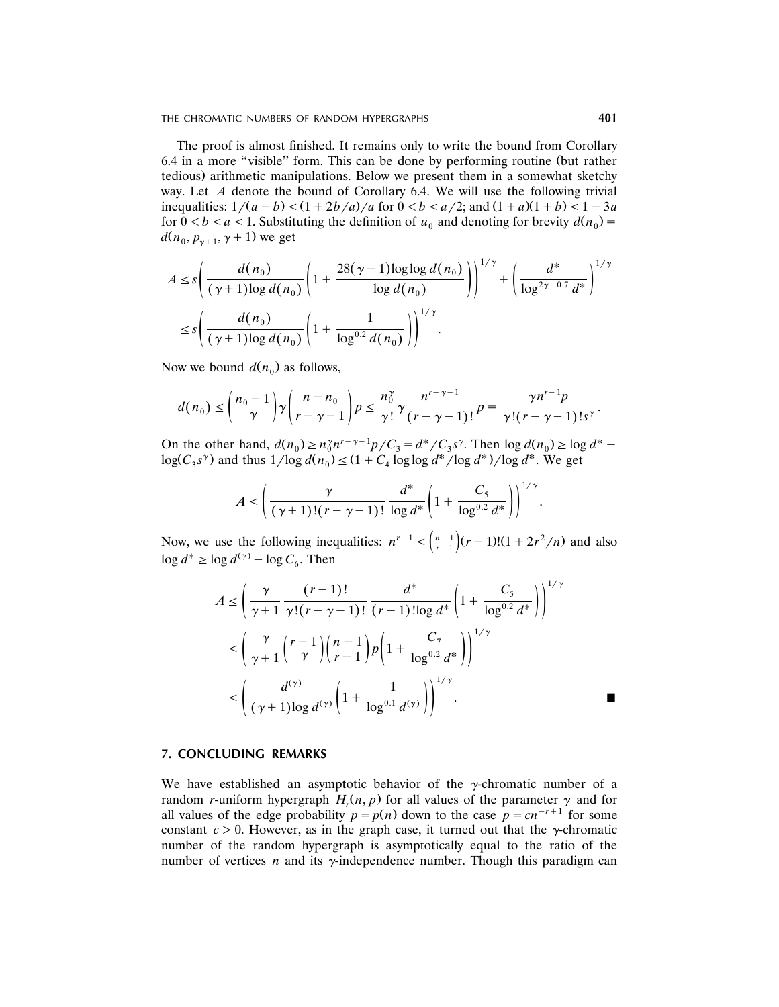THE CHROMATIC NUMBERS OF RANDOM HYPERGRAPHS **401**

The proof is almost finished. It remains only to write the bound from Corollary 6.4 in a more "visible" form. This can be done by performing routine (but rather tedious. arithmetic manipulations. Below we present them in a somewhat sketchy way. Let *A* denote the bound of Corollary 6.4. We will use the following trivial inequalities:  $1/(a - b) \le (1 + 2b/a)/a$  for  $0 < b \le a/2$ ; and  $(1 + a)(1 + b) \le 1 + 3a$ . for  $0 < b \le a \le 1$ . Substituting the definition of  $u_0$  and denoting for brevity  $d(n_0)$  =  $d(n_0, p_{\gamma+1}, \gamma + 1)$  we get

$$
A \leq s \left( \frac{d(n_0)}{(\gamma + 1) \log d(n_0)} \left( 1 + \frac{28(\gamma + 1) \log \log d(n_0)}{\log d(n_0)} \right) \right)^{1/\gamma} + \left( \frac{d^*}{\log^{2\gamma - 0.7} d^*} \right)^{1/\gamma}
$$
  

$$
\leq s \left( \frac{d(n_0)}{(\gamma + 1) \log d(n_0)} \left( 1 + \frac{1}{\log^{0.2} d(n_0)} \right) \right)^{1/\gamma}.
$$

Now we bound  $d(n_0)$  as follows,

$$
d(n_0) \leq {n_0-1 \choose \gamma} \gamma {n-n_0 \choose r-\gamma-1} p \leq \frac{n_0^{\gamma}}{\gamma!} \gamma \frac{n^{r-\gamma-1}}{(r-\gamma-1)!} p = \frac{\gamma n^{r-1} p}{\gamma! (r-\gamma-1)! s^{\gamma}}.
$$

On the other hand,  $d(n_0) \ge n_0^n n^{r-\gamma-1} p/C_3 = d^*/C_3 s^{\gamma}$ . Then  $\log d(n_0) \ge \log d^*$  $\log(C_3 s^{\gamma})$  and thus  $1/\log d(n_0) \leq (1 + C_4 \log \log d^{\gamma}/\log d^{\gamma})/\log d^{\gamma}$ . We get

$$
A \leq \left(\frac{\gamma}{(\gamma+1)!(r-\gamma-1)!} \frac{d^*}{\log d^*} \left(1+\frac{C_5}{\log^{0.2} d^*}\right)\right)^{1/\gamma}.
$$

Now, we use the following inequalities:  $n^{r-1} \leq {n-1 \choose r-1}(r-1)!(1+2r^2/n)$  and also  $\log d^* \geq \log d^{(\gamma)} - \log C_6$ . Then

$$
A \le \left(\frac{\gamma}{\gamma+1} \frac{(r-1)!}{\gamma!(r-\gamma-1)!} \frac{d^*}{(r-1)! \log d^*} \left(1 + \frac{C_5}{\log^{0.2} d^*}\right)\right)^{1/\gamma}
$$
  

$$
\le \left(\frac{\gamma}{\gamma+1} {r-1 \choose \gamma} {n-1 \choose r-1} p \left(1 + \frac{C_7}{\log^{0.2} d^*}\right)\right)^{1/\gamma}
$$
  

$$
\le \left(\frac{d^{(\gamma)}}{(\gamma+1)! \log d^{(\gamma)}} \left(1 + \frac{1}{\log^{0.1} d^{(\gamma)}}\right)\right)^{1/\gamma}.
$$

# **7. CONCLUDING REMARKS**

We have established an asymptotic behavior of the  $\gamma$ -chromatic number of a random *r*-uniform hypergraph  $H_r(n, p)$  for all values of the parameter  $\gamma$  and for all values of the edge probability  $p = p(n)$  down to the case  $p = cn^{-r+1}$  for some constant  $c > 0$ . However, as in the graph case, it turned out that the y-chromatic number of the random hypergraph is asymptotically equal to the ratio of the number of vertices *n* and its  $\gamma$ -independence number. Though this paradigm can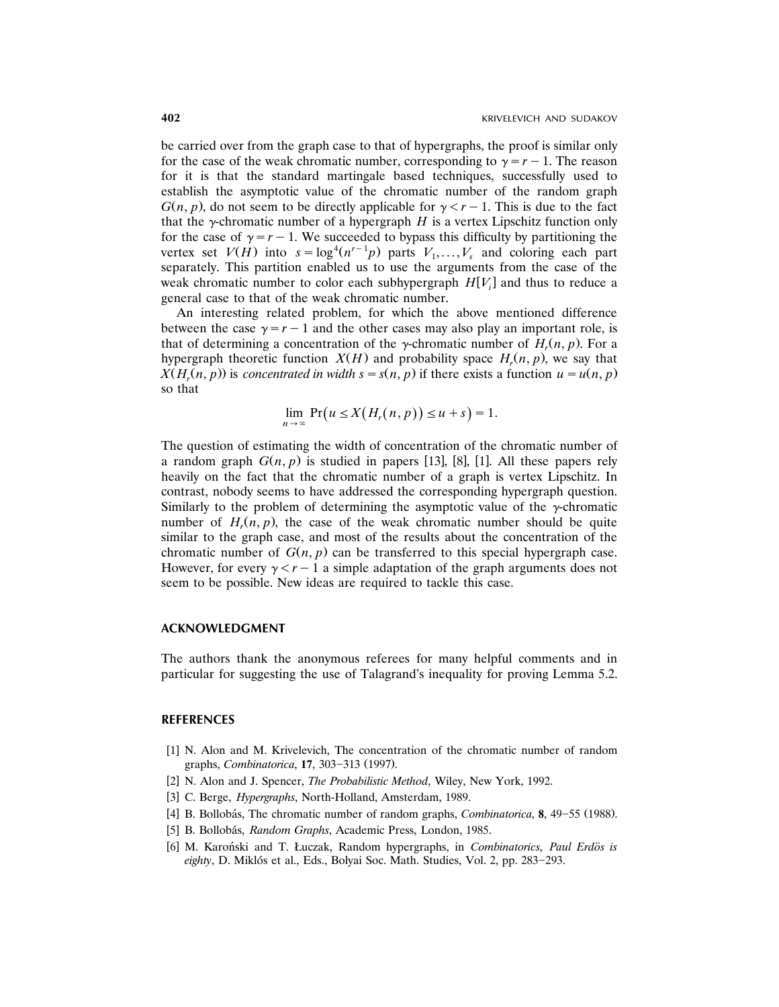be carried over from the graph case to that of hypergraphs, the proof is similar only for the case of the weak chromatic number, corresponding to  $\gamma = r - 1$ . The reason for it is that the standard martingale based techniques, successfully used to establish the asymptotic value of the chromatic number of the random graph  $G(n, p)$ , do not seem to be directly applicable for  $\gamma < r-1$ . This is due to the fact that the  $\gamma$ -chromatic number of a hypergraph *H* is a vertex Lipschitz function only for the case of  $\gamma = r - 1$ . We succeeded to bypass this difficulty by partitioning the vertex set *V(H)* into  $s = \log^4(n^{r-1}p)$  parts  $V_1, \ldots, V_s$  and coloring each part separately. This partition enabled us to use the arguments from the case of the weak chromatic number to color each subhypergraph  $H[V_i]$  and thus to reduce a general case to that of the weak chromatic number.

An interesting related problem, for which the above mentioned difference between the case  $\gamma = r - 1$  and the other cases may also play an important role, is that of determining a concentration of the y-chromatic number of  $H_r(n, p)$ . For a hypergraph theoretic function  $X(H)$  and probability space  $H_r(n, p)$ , we say that  $X(H_r(n, p))$  is *concentrated in width*  $s = s(n, p)$  if there exists a function  $u = u(n, p)$ so that

$$
\lim_{n\to\infty}\Pr(u\leq X(H_r(n,p))\leq u+s)=1.
$$

The question of estimating the width of concentration of the chromatic number of a random graph  $G(n, p)$  is studied in papers [13], [8], [1]. All these papers rely heavily on the fact that the chromatic number of a graph is vertex Lipschitz. In contrast, nobody seems to have addressed the corresponding hypergraph question. Similarly to the problem of determining the asymptotic value of the  $\gamma$ -chromatic number of  $H_r(n, p)$ , the case of the weak chromatic number should be quite similar to the graph case, and most of the results about the concentration of the chromatic number of  $G(n, p)$  can be transferred to this special hypergraph case. However, for every  $\gamma < r-1$  a simple adaptation of the graph arguments does not seem to be possible. New ideas are required to tackle this case.

# **ACKNOWLEDGMENT**

The authors thank the anonymous referees for many helpful comments and in particular for suggesting the use of Talagrand's inequality for proving Lemma 5.2.

# **REFERENCES**

- [1] N. Alon and M. Krivelevich, The concentration of the chromatic number of random graphs, *Combinatorica*, **17**, 303-313 (1997).
- [2] N. Alon and J. Spencer, *The Probabilistic Method*, Wiley, New York, 1992.
- [3] C. Berge, *Hypergraphs*, North-Holland, Amsterdam, 1989.
- [4] B. Bollobás, The chromatic number of random graphs, *Combinatorica*,  $\mathbf{8}$ , 49–55 (1988).
- [5] B. Bollobás, Random Graphs, Academic Press, London, 1985.
- [6] M. Karoński and T. Łuczak, Random hypergraphs, in *Combinatorics*, *Paul Erdös is* eighty, D. Miklós et al., Eds., Bolyai Soc. Math. Studies, Vol. 2, pp. 283-293.